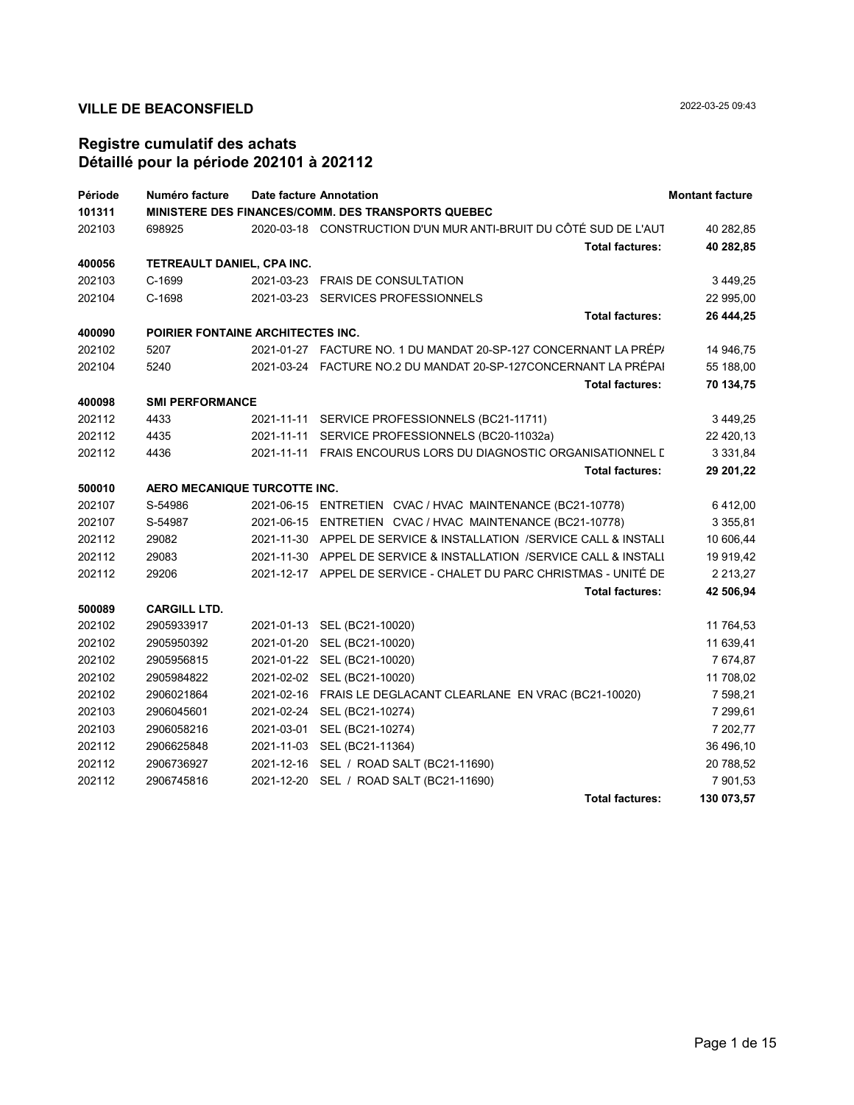| Période | Numéro facture                    |            | <b>Date facture Annotation</b>                                     | <b>Montant facture</b> |
|---------|-----------------------------------|------------|--------------------------------------------------------------------|------------------------|
| 101311  |                                   |            | MINISTERE DES FINANCES/COMM. DES TRANSPORTS QUEBEC                 |                        |
| 202103  | 698925                            |            | 2020-03-18 CONSTRUCTION D'UN MUR ANTI-BRUIT DU CÔTÉ SUD DE L'AUT   | 40 282,85              |
|         |                                   |            | <b>Total factures:</b>                                             | 40 282,85              |
| 400056  | TETREAULT DANIEL, CPA INC.        |            |                                                                    |                        |
| 202103  | C-1699                            |            | 2021-03-23 FRAIS DE CONSULTATION                                   | 3 449,25               |
| 202104  | C-1698                            |            | 2021-03-23 SERVICES PROFESSIONNELS                                 | 22 995,00              |
|         |                                   |            | <b>Total factures:</b>                                             | 26 444,25              |
| 400090  | POIRIER FONTAINE ARCHITECTES INC. |            |                                                                    |                        |
| 202102  | 5207                              |            | 2021-01-27 FACTURE NO. 1 DU MANDAT 20-SP-127 CONCERNANT LA PRÉPA   | 14 946,75              |
| 202104  | 5240                              |            | 2021-03-24 FACTURE NO.2 DU MANDAT 20-SP-127CONCERNANT LA PRÉPAI    | 55 188,00              |
|         |                                   |            | <b>Total factures:</b>                                             | 70 134,75              |
| 400098  | <b>SMI PERFORMANCE</b>            |            |                                                                    |                        |
| 202112  | 4433                              | 2021-11-11 | SERVICE PROFESSIONNELS (BC21-11711)                                | 3 449,25               |
| 202112  | 4435                              | 2021-11-11 | SERVICE PROFESSIONNELS (BC20-11032a)                               | 22 420,13              |
| 202112  | 4436                              | 2021-11-11 | FRAIS ENCOURUS LORS DU DIAGNOSTIC ORGANISATIONNEL E                | 3 3 3 1 , 8 4          |
|         |                                   |            | <b>Total factures:</b>                                             | 29 201,22              |
| 500010  | AERO MECANIQUE TURCOTTE INC.      |            |                                                                    |                        |
| 202107  | S-54986                           |            | 2021-06-15 ENTRETIEN CVAC / HVAC MAINTENANCE (BC21-10778)          | 6412,00                |
| 202107  | S-54987                           |            | 2021-06-15 ENTRETIEN CVAC / HVAC MAINTENANCE (BC21-10778)          | 3 3 5 5 , 8 1          |
| 202112  | 29082                             |            | 2021-11-30 APPEL DE SERVICE & INSTALLATION /SERVICE CALL & INSTALI | 10 606,44              |
| 202112  | 29083                             |            | 2021-11-30 APPEL DE SERVICE & INSTALLATION /SERVICE CALL & INSTALI | 19 919,42              |
| 202112  | 29206                             |            | 2021-12-17 APPEL DE SERVICE - CHALET DU PARC CHRISTMAS - UNITÉ DE  | 2 2 1 3, 2 7           |
|         |                                   |            | <b>Total factures:</b>                                             | 42 506,94              |
| 500089  | <b>CARGILL LTD.</b>               |            |                                                                    |                        |
| 202102  | 2905933917                        | 2021-01-13 | SEL (BC21-10020)                                                   | 11 764,53              |
| 202102  | 2905950392                        | 2021-01-20 | SEL (BC21-10020)                                                   | 11 639,41              |
| 202102  | 2905956815                        | 2021-01-22 | SEL (BC21-10020)                                                   | 7 674,87               |
| 202102  | 2905984822                        | 2021-02-02 | SEL (BC21-10020)                                                   | 11 708,02              |
| 202102  | 2906021864                        |            | 2021-02-16 FRAIS LE DEGLACANT CLEARLANE EN VRAC (BC21-10020)       | 7 598,21               |
| 202103  | 2906045601                        | 2021-02-24 | SEL (BC21-10274)                                                   | 7 299,61               |
| 202103  | 2906058216                        | 2021-03-01 | SEL (BC21-10274)                                                   | 7 202,77               |
| 202112  | 2906625848                        | 2021-11-03 | SEL (BC21-11364)                                                   | 36 496,10              |
| 202112  | 2906736927                        |            | 2021-12-16 SEL / ROAD SALT (BC21-11690)                            | 20 788,52              |
| 202112  | 2906745816                        | 2021-12-20 | SEL / ROAD SALT (BC21-11690)                                       | 7 901,53               |
|         |                                   |            | <b>Total factures:</b>                                             | 130 073,57             |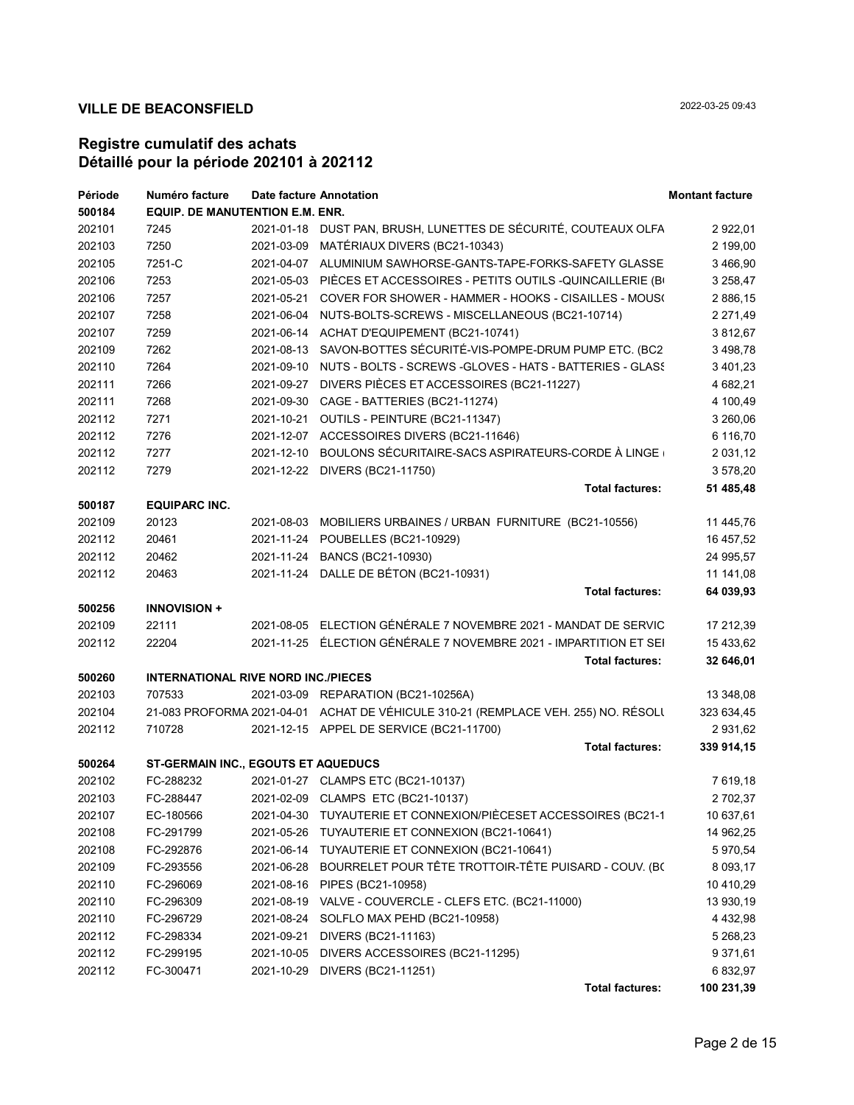| Période | Numéro facture                             |            | Date facture Annotation                                                            | <b>Montant facture</b> |
|---------|--------------------------------------------|------------|------------------------------------------------------------------------------------|------------------------|
| 500184  | EQUIP. DE MANUTENTION E.M. ENR.            |            |                                                                                    |                        |
| 202101  | 7245                                       |            | 2021-01-18 DUST PAN, BRUSH, LUNETTES DE SÉCURITÉ, COUTEAUX OLFA                    | 2 922,01               |
| 202103  | 7250                                       |            | 2021-03-09 MATÉRIAUX DIVERS (BC21-10343)                                           | 2 199,00               |
| 202105  | 7251-C                                     |            | 2021-04-07 ALUMINIUM SAWHORSE-GANTS-TAPE-FORKS-SAFETY GLASSE                       | 3 466,90               |
| 202106  | 7253                                       |            | 2021-05-03 PIÈCES ET ACCESSOIRES - PETITS OUTILS - QUINCAILLERIE (B)               | 3 2 58,47              |
| 202106  | 7257                                       |            | 2021-05-21 COVER FOR SHOWER - HAMMER - HOOKS - CISAILLES - MOUS(                   | 2 886,15               |
| 202107  | 7258                                       | 2021-06-04 | NUTS-BOLTS-SCREWS - MISCELLANEOUS (BC21-10714)                                     | 2 2 7 1 , 4 9          |
| 202107  | 7259                                       |            | 2021-06-14 ACHAT D'EQUIPEMENT (BC21-10741)                                         | 3 812,67               |
| 202109  | 7262                                       |            | 2021-08-13 SAVON-BOTTES SÉCURITÉ-VIS-POMPE-DRUM PUMP ETC. (BC2                     | 3 498,78               |
| 202110  | 7264                                       |            | 2021-09-10 NUTS - BOLTS - SCREWS -GLOVES - HATS - BATTERIES - GLASS                | 3 401,23               |
| 202111  | 7266                                       | 2021-09-27 | DIVERS PIÈCES ET ACCESSOIRES (BC21-11227)                                          | 4 682,21               |
| 202111  | 7268                                       |            | 2021-09-30 CAGE - BATTERIES (BC21-11274)                                           | 4 100,49               |
| 202112  | 7271                                       |            | 2021-10-21 OUTILS - PEINTURE (BC21-11347)                                          | 3 260,06               |
| 202112  | 7276                                       |            | 2021-12-07 ACCESSOIRES DIVERS (BC21-11646)                                         | 6 116,70               |
| 202112  | 7277                                       | 2021-12-10 | BOULONS SÉCURITAIRE-SACS ASPIRATEURS-CORDE À LINGE                                 | 2 0 3 1 , 1 2          |
| 202112  | 7279                                       |            | 2021-12-22 DIVERS (BC21-11750)                                                     | 3 578,20               |
|         |                                            |            | <b>Total factures:</b>                                                             | 51 485,48              |
| 500187  | <b>EQUIPARC INC.</b>                       |            |                                                                                    |                        |
| 202109  | 20123                                      |            | 2021-08-03 MOBILIERS URBAINES / URBAN FURNITURE (BC21-10556)                       | 11 445,76              |
| 202112  | 20461                                      |            | 2021-11-24 POUBELLES (BC21-10929)                                                  | 16 457,52              |
| 202112  | 20462                                      |            | 2021-11-24 BANCS (BC21-10930)                                                      | 24 995,57              |
| 202112  | 20463                                      |            | 2021-11-24 DALLE DE BÉTON (BC21-10931)                                             | 11 141,08              |
|         |                                            |            | <b>Total factures:</b>                                                             | 64 039,93              |
| 500256  | <b>INNOVISION +</b>                        |            |                                                                                    |                        |
| 202109  | 22111                                      |            | 2021-08-05 ELECTION GÉNÉRALE 7 NOVEMBRE 2021 - MANDAT DE SERVIC                    | 17 212,39              |
| 202112  | 22204                                      |            | 2021-11-25 ÉLECTION GÉNÉRALE 7 NOVEMBRE 2021 - IMPARTITION ET SEI                  | 15 433,62              |
|         |                                            |            | <b>Total factures:</b>                                                             | 32 646,01              |
| 500260  | <b>INTERNATIONAL RIVE NORD INC./PIECES</b> |            |                                                                                    |                        |
| 202103  | 707533                                     |            | 2021-03-09 REPARATION (BC21-10256A)                                                | 13 348,08              |
| 202104  |                                            |            | 21-083 PROFORMA 2021-04-01 ACHAT DE VÉHICULE 310-21 (REMPLACE VEH. 255) NO. RÉSOLI | 323 634,45             |
| 202112  | 710728                                     |            | 2021-12-15 APPEL DE SERVICE (BC21-11700)                                           | 2 931,62               |
|         |                                            |            | <b>Total factures:</b>                                                             | 339 914,15             |
| 500264  | ST-GERMAIN INC., EGOUTS ET AQUEDUCS        |            |                                                                                    |                        |
| 202102  | FC-288232                                  |            | 2021-01-27 CLAMPS ETC (BC21-10137)                                                 | 7 619,18               |
| 202103  | FC-288447                                  |            | 2021-02-09 CLAMPS ETC (BC21-10137)                                                 | 2 702,37               |
| 202107  | EC-180566                                  |            | 2021-04-30 TUYAUTERIE ET CONNEXION/PIÈCESET ACCESSOIRES (BC21-1                    | 10 637,61              |
| 202108  | FC-291799                                  |            | 2021-05-26 TUYAUTERIE ET CONNEXION (BC21-10641)                                    | 14 962,25              |
| 202108  | FC-292876                                  |            | 2021-06-14 TUYAUTERIE ET CONNEXION (BC21-10641)                                    | 5 970,54               |
| 202109  | FC-293556                                  | 2021-06-28 | BOURRELET POUR TÊTE TROTTOIR-TÊTE PUISARD - COUV. (BC                              | 8 0 9 3 , 1 7          |
| 202110  | FC-296069                                  |            | 2021-08-16 PIPES (BC21-10958)                                                      | 10 410,29              |
| 202110  | FC-296309                                  |            | 2021-08-19 VALVE - COUVERCLE - CLEFS ETC. (BC21-11000)                             | 13 930,19              |
| 202110  | FC-296729                                  | 2021-08-24 | SOLFLO MAX PEHD (BC21-10958)                                                       | 4 4 3 2,98             |
| 202112  | FC-298334                                  | 2021-09-21 | DIVERS (BC21-11163)                                                                | 5 268,23               |
| 202112  | FC-299195                                  | 2021-10-05 | DIVERS ACCESSOIRES (BC21-11295)                                                    | 9 371,61               |
| 202112  | FC-300471                                  | 2021-10-29 | DIVERS (BC21-11251)                                                                | 6 832,97               |
|         |                                            |            | <b>Total factures:</b>                                                             | 100 231,39             |
|         |                                            |            |                                                                                    |                        |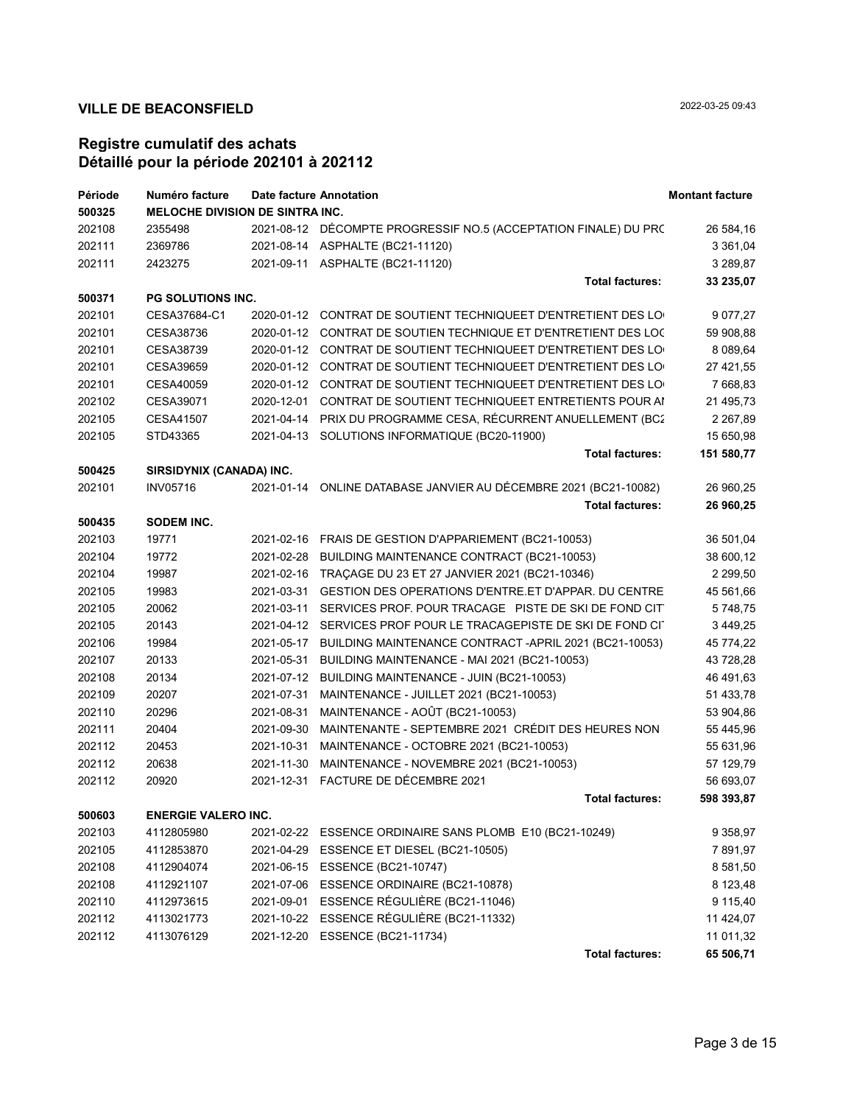| Période | Numéro facture                         | Date facture Annotation |                                                                  | <b>Montant facture</b> |
|---------|----------------------------------------|-------------------------|------------------------------------------------------------------|------------------------|
| 500325  | <b>MELOCHE DIVISION DE SINTRA INC.</b> |                         |                                                                  |                        |
| 202108  | 2355498                                |                         | 2021-08-12 DÉCOMPTE PROGRESSIF NO.5 (ACCEPTATION FINALE) DU PRO  | 26 584,16              |
| 202111  | 2369786                                |                         | 2021-08-14 ASPHALTE (BC21-11120)                                 | 3 3 6 1 , 0 4          |
| 202111  | 2423275                                |                         | 2021-09-11 ASPHALTE (BC21-11120)                                 | 3 289,87               |
|         |                                        |                         | <b>Total factures:</b>                                           | 33 235,07              |
| 500371  | <b>PG SOLUTIONS INC.</b>               |                         |                                                                  |                        |
| 202101  | CESA37684-C1                           |                         | 2020-01-12  CONTRAT DE SOUTIENT TECHNIQUEET D'ENTRETIENT DES LO  | 9 0 77, 27             |
| 202101  | CESA38736                              |                         | 2020-01-12 CONTRAT DE SOUTIEN TECHNIQUE ET D'ENTRETIENT DES LOC  | 59 908,88              |
| 202101  | CESA38739                              |                         | 2020-01-12 CONTRAT DE SOUTIENT TECHNIQUEET D'ENTRETIENT DES LO   | 8 089,64               |
| 202101  | CESA39659                              |                         | 2020-01-12 CONTRAT DE SOUTIENT TECHNIQUEET D'ENTRETIENT DES LO   | 27 421,55              |
| 202101  | CESA40059                              |                         | 2020-01-12 CONTRAT DE SOUTIENT TECHNIQUEET D'ENTRETIENT DES LO   | 7 668,83               |
| 202102  | CESA39071                              | 2020-12-01              | CONTRAT DE SOUTIENT TECHNIQUEET ENTRETIENTS POUR AI              | 21 495,73              |
| 202105  | CESA41507                              | 2021-04-14              | PRIX DU PROGRAMME CESA, RÉCURRENT ANUELLEMENT (BC2               | 2 2 6 7, 8 9           |
| 202105  | STD43365                               |                         | 2021-04-13 SOLUTIONS INFORMATIQUE (BC20-11900)                   | 15 650,98              |
|         |                                        |                         | <b>Total factures:</b>                                           | 151 580,77             |
| 500425  | SIRSIDYNIX (CANADA) INC.               |                         |                                                                  |                        |
| 202101  | <b>INV05716</b>                        |                         | 2021-01-14 ONLINE DATABASE JANVIER AU DÉCEMBRE 2021 (BC21-10082) | 26 960,25              |
|         |                                        |                         | <b>Total factures:</b>                                           | 26 960,25              |
| 500435  | SODEM INC.                             |                         |                                                                  |                        |
| 202103  | 19771                                  |                         | 2021-02-16 FRAIS DE GESTION D'APPARIEMENT (BC21-10053)           | 36 501,04              |
| 202104  | 19772                                  | 2021-02-28              | BUILDING MAINTENANCE CONTRACT (BC21-10053)                       | 38 600,12              |
| 202104  | 19987                                  |                         | 2021-02-16 TRAÇAGE DU 23 ET 27 JANVIER 2021 (BC21-10346)         | 2 2 9 9,50             |
| 202105  | 19983                                  | 2021-03-31              | GESTION DES OPERATIONS D'ENTRE ET D'APPAR. DU CENTRE             | 45 561,66              |
| 202105  | 20062                                  | 2021-03-11              | SERVICES PROF. POUR TRACAGE PISTE DE SKI DE FOND CIT             | 5748,75                |
| 202105  | 20143                                  | 2021-04-12              | SERVICES PROF POUR LE TRACAGEPISTE DE SKI DE FOND CIT            | 3 449,25               |
| 202106  | 19984                                  | 2021-05-17              | BUILDING MAINTENANCE CONTRACT - APRIL 2021 (BC21-10053)          | 45 774,22              |
| 202107  | 20133                                  | 2021-05-31              | BUILDING MAINTENANCE - MAI 2021 (BC21-10053)                     | 43 728,28              |
| 202108  | 20134                                  | 2021-07-12              | BUILDING MAINTENANCE - JUIN (BC21-10053)                         | 46 491,63              |
| 202109  | 20207                                  | 2021-07-31              | MAINTENANCE - JUILLET 2021 (BC21-10053)                          | 51 433,78              |
| 202110  | 20296                                  | 2021-08-31              | MAINTENANCE - AOÛT (BC21-10053)                                  | 53 904,86              |
| 202111  | 20404                                  | 2021-09-30              | MAINTENANTE - SEPTEMBRE 2021 CRÉDIT DES HEURES NON               | 55 445,96              |
| 202112  | 20453                                  | 2021-10-31              | MAINTENANCE - OCTOBRE 2021 (BC21-10053)                          | 55 631,96              |
| 202112  | 20638                                  | 2021-11-30              | MAINTENANCE - NOVEMBRE 2021 (BC21-10053)                         | 57 129,79              |
| 202112  | 20920                                  |                         | 2021-12-31 FACTURE DE DÉCEMBRE 2021                              | 56 693,07              |
|         |                                        |                         | <b>Total factures:</b>                                           | 598 393,87             |
| 500603  | <b>ENERGIE VALERO INC.</b>             |                         |                                                                  |                        |
| 202103  | 4112805980                             | 2021-02-22              | ESSENCE ORDINAIRE SANS PLOMB E10 (BC21-10249)                    | 9 3 5 8, 9 7           |
| 202105  | 4112853870                             | 2021-04-29              | ESSENCE ET DIESEL (BC21-10505)                                   | 7891,97                |
| 202108  | 4112904074                             | 2021-06-15              | ESSENCE (BC21-10747)                                             | 8 581,50               |
| 202108  | 4112921107                             | 2021-07-06              | ESSENCE ORDINAIRE (BC21-10878)                                   | 8 123,48               |
| 202110  | 4112973615                             | 2021-09-01              | ESSENCE RÉGULIÈRE (BC21-11046)                                   | 9 115,40               |
| 202112  | 4113021773                             | 2021-10-22              | ESSENCE RÉGULIÈRE (BC21-11332)                                   | 11 424,07              |
| 202112  | 4113076129                             | 2021-12-20              | ESSENCE (BC21-11734)                                             | 11 011,32              |
|         |                                        |                         | <b>Total factures:</b>                                           | 65 506,71              |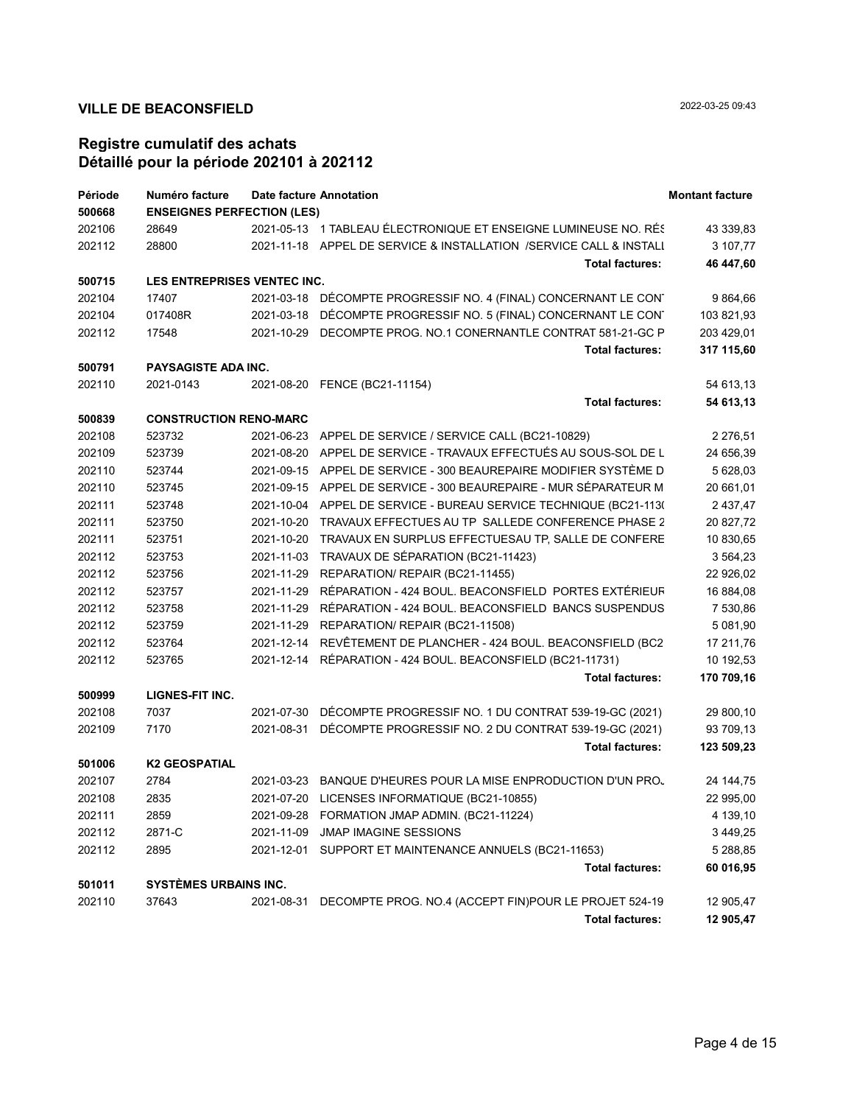| Période | Numéro facture                    |            | <b>Date facture Annotation</b>                                     | <b>Montant facture</b> |
|---------|-----------------------------------|------------|--------------------------------------------------------------------|------------------------|
| 500668  | <b>ENSEIGNES PERFECTION (LES)</b> |            |                                                                    |                        |
| 202106  | 28649                             |            | 2021-05-13 1 TABLEAU ÉLECTRONIQUE ET ENSEIGNE LUMINEUSE NO. RÉS    | 43 339,83              |
| 202112  | 28800                             |            | 2021-11-18 APPEL DE SERVICE & INSTALLATION /SERVICE CALL & INSTALI | 3 107,77               |
|         |                                   |            | <b>Total factures:</b>                                             | 46 447,60              |
| 500715  | LES ENTREPRISES VENTEC INC.       |            |                                                                    |                        |
| 202104  | 17407                             |            | 2021-03-18 DÉCOMPTE PROGRESSIF NO. 4 (FINAL) CONCERNANT LE CONT    | 9 864,66               |
| 202104  | 017408R                           |            | 2021-03-18 DÉCOMPTE PROGRESSIF NO. 5 (FINAL) CONCERNANT LE CON     | 103 821,93             |
| 202112  | 17548                             |            | 2021-10-29 DECOMPTE PROG. NO.1 CONERNANTLE CONTRAT 581-21-GC P     | 203 429,01             |
|         |                                   |            | <b>Total factures:</b>                                             | 317 115,60             |
| 500791  | <b>PAYSAGISTE ADA INC.</b>        |            |                                                                    |                        |
| 202110  | 2021-0143                         |            | 2021-08-20 FENCE (BC21-11154)                                      | 54 613,13              |
|         |                                   |            | <b>Total factures:</b>                                             | 54 613,13              |
| 500839  | <b>CONSTRUCTION RENO-MARC</b>     |            |                                                                    |                        |
| 202108  | 523732                            |            | 2021-06-23 APPEL DE SERVICE / SERVICE CALL (BC21-10829)            | 2 276,51               |
| 202109  | 523739                            |            | 2021-08-20 APPEL DE SERVICE - TRAVAUX EFFECTUÉS AU SOUS-SOL DE L   | 24 656,39              |
| 202110  | 523744                            |            | 2021-09-15 APPEL DE SERVICE - 300 BEAUREPAIRE MODIFIER SYSTÈME D   | 5 628,03               |
| 202110  | 523745                            |            | 2021-09-15 APPEL DE SERVICE - 300 BEAUREPAIRE - MUR SÉPARATEUR M   | 20 661,01              |
| 202111  | 523748                            |            | 2021-10-04 APPEL DE SERVICE - BUREAU SERVICE TECHNIQUE (BC21-113(  | 2 4 3 7 , 4 7          |
| 202111  | 523750                            |            | 2021-10-20 TRAVAUX EFFECTUES AU TP SALLEDE CONFERENCE PHASE 2      | 20 827,72              |
| 202111  | 523751                            |            | 2021-10-20 TRAVAUX EN SURPLUS EFFECTUESAU TP, SALLE DE CONFERE     | 10 830,65              |
| 202112  | 523753                            |            | 2021-11-03 TRAVAUX DE SÉPARATION (BC21-11423)                      | 3 564,23               |
| 202112  | 523756                            |            | 2021-11-29 REPARATION/ REPAIR (BC21-11455)                         | 22 926,02              |
| 202112  | 523757                            |            | 2021-11-29 RÉPARATION - 424 BOUL. BEACONSFIELD PORTES EXTÉRIEUF    | 16 884,08              |
| 202112  | 523758                            |            | 2021-11-29 RÉPARATION - 424 BOUL. BEACONSFIELD BANCS SUSPENDUS     | 7 530,86               |
| 202112  | 523759                            |            | 2021-11-29 REPARATION/ REPAIR (BC21-11508)                         | 5 081,90               |
| 202112  | 523764                            |            | 2021-12-14 REVÊTEMENT DE PLANCHER - 424 BOUL. BEACONSFIELD (BC2    | 17 211,76              |
| 202112  | 523765                            |            | 2021-12-14 RÉPARATION - 424 BOUL. BEACONSFIELD (BC21-11731)        | 10 192,53              |
|         |                                   |            | <b>Total factures:</b>                                             | 170 709,16             |
| 500999  | <b>LIGNES-FIT INC.</b>            |            |                                                                    |                        |
| 202108  | 7037                              |            | 2021-07-30 DÉCOMPTE PROGRESSIF NO. 1 DU CONTRAT 539-19-GC (2021)   | 29 800,10              |
| 202109  | 7170                              |            | 2021-08-31 DÉCOMPTE PROGRESSIF NO. 2 DU CONTRAT 539-19-GC (2021)   | 93 709,13              |
|         |                                   |            | <b>Total factures:</b>                                             | 123 509,23             |
| 501006  | <b>K2 GEOSPATIAL</b>              |            |                                                                    |                        |
| 202107  | 2784                              |            | 2021-03-23 BANQUE D'HEURES POUR LA MISE ENPRODUCTION D'UN PRO.     | 24 144,75              |
| 202108  | 2835                              |            | 2021-07-20 LICENSES INFORMATIQUE (BC21-10855)                      | 22 995,00              |
| 202111  | 2859                              |            | 2021-09-28 FORMATION JMAP ADMIN. (BC21-11224)                      | 4 139,10               |
| 202112  | 2871-C                            |            | 2021-11-09 JMAP IMAGINE SESSIONS                                   | 3 4 4 9, 25            |
| 202112  | 2895                              |            | 2021-12-01 SUPPORT ET MAINTENANCE ANNUELS (BC21-11653)             | 5 288,85               |
|         |                                   |            | <b>Total factures:</b>                                             | 60 016,95              |
| 501011  | <b>SYSTÈMES URBAINS INC.</b>      |            |                                                                    |                        |
| 202110  | 37643                             | 2021-08-31 | DECOMPTE PROG. NO.4 (ACCEPT FIN) POUR LE PROJET 524-19             | 12 905,47              |
|         |                                   |            | <b>Total factures:</b>                                             | 12 905,47              |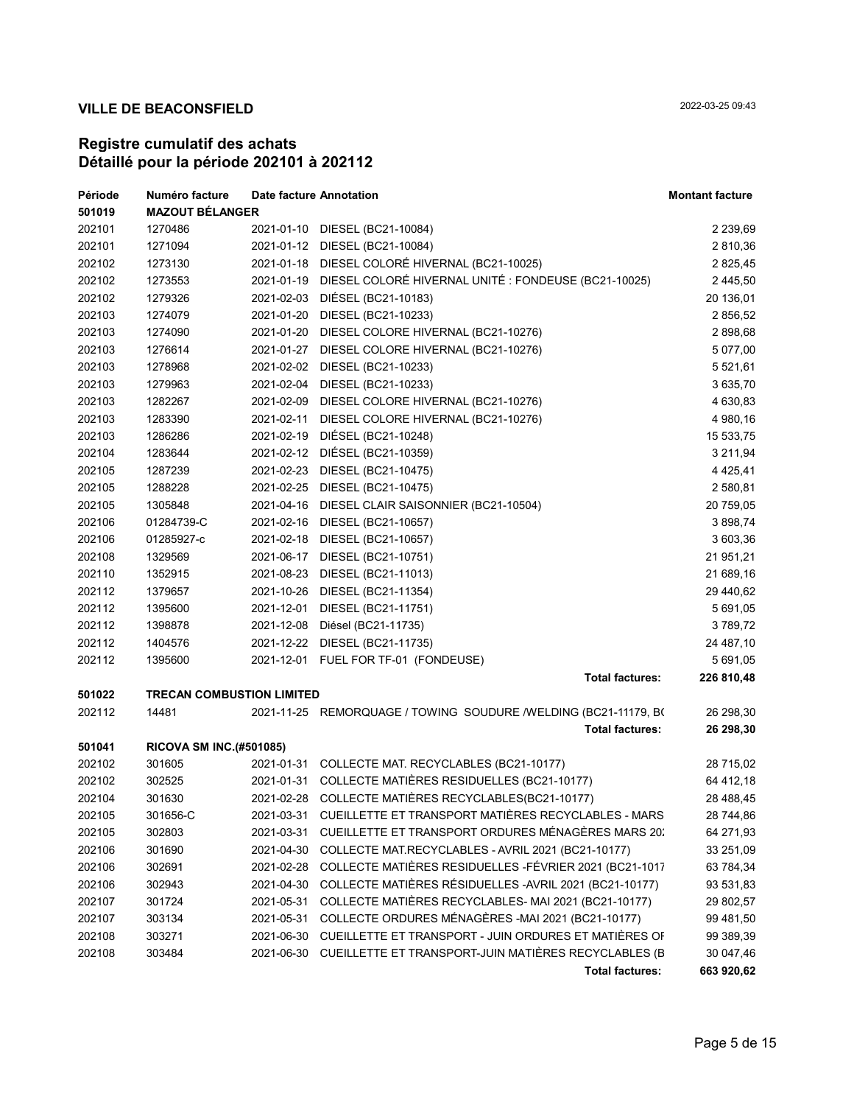| Période | Numéro facture                   | <b>Date facture Annotation</b> |                                                                 | <b>Montant facture</b> |
|---------|----------------------------------|--------------------------------|-----------------------------------------------------------------|------------------------|
| 501019  | <b>MAZOUT BÉLANGER</b>           |                                |                                                                 |                        |
| 202101  | 1270486                          |                                | 2021-01-10 DIESEL (BC21-10084)                                  | 2 2 3 9, 6 9           |
| 202101  | 1271094                          |                                | 2021-01-12 DIESEL (BC21-10084)                                  | 2 810,36               |
| 202102  | 1273130                          |                                | 2021-01-18 DIESEL COLORÉ HIVERNAL (BC21-10025)                  | 2 825,45               |
| 202102  | 1273553                          | 2021-01-19                     | DIESEL COLORÉ HIVERNAL UNITÉ : FONDEUSE (BC21-10025)            | 2 445,50               |
| 202102  | 1279326                          | 2021-02-03                     | DIÉSEL (BC21-10183)                                             | 20 136,01              |
| 202103  | 1274079                          | 2021-01-20                     | DIESEL (BC21-10233)                                             | 2 856,52               |
| 202103  | 1274090                          | 2021-01-20                     | DIESEL COLORE HIVERNAL (BC21-10276)                             | 2898,68                |
| 202103  | 1276614                          | 2021-01-27                     | DIESEL COLORE HIVERNAL (BC21-10276)                             | 5 077,00               |
| 202103  | 1278968                          | 2021-02-02                     | DIESEL (BC21-10233)                                             | 5 5 2 1 , 6 1          |
| 202103  | 1279963                          | 2021-02-04                     | DIESEL (BC21-10233)                                             | 3 635,70               |
| 202103  | 1282267                          | 2021-02-09                     | DIESEL COLORE HIVERNAL (BC21-10276)                             | 4 630,83               |
| 202103  | 1283390                          | 2021-02-11                     | DIESEL COLORE HIVERNAL (BC21-10276)                             | 4 980,16               |
| 202103  | 1286286                          | 2021-02-19                     | DIÉSEL (BC21-10248)                                             | 15 533,75              |
| 202104  | 1283644                          |                                | 2021-02-12 DIÉSEL (BC21-10359)                                  | 3 211,94               |
| 202105  | 1287239                          |                                | 2021-02-23 DIESEL (BC21-10475)                                  | 4 4 2 5 , 4 1          |
| 202105  | 1288228                          |                                | 2021-02-25 DIESEL (BC21-10475)                                  | 2 580,81               |
| 202105  | 1305848                          |                                | 2021-04-16 DIESEL CLAIR SAISONNIER (BC21-10504)                 | 20 759,05              |
| 202106  | 01284739-C                       | 2021-02-16                     | DIESEL (BC21-10657)                                             | 3 898,74               |
| 202106  | 01285927-c                       |                                | 2021-02-18 DIESEL (BC21-10657)                                  | 3 603,36               |
| 202108  | 1329569                          | 2021-06-17                     | DIESEL (BC21-10751)                                             | 21 951,21              |
| 202110  | 1352915                          | 2021-08-23                     | DIESEL (BC21-11013)                                             | 21 689,16              |
| 202112  | 1379657                          | 2021-10-26                     | DIESEL (BC21-11354)                                             | 29 440,62              |
| 202112  | 1395600                          | 2021-12-01                     | DIESEL (BC21-11751)                                             | 5 691,05               |
| 202112  | 1398878                          | 2021-12-08                     | Diésel (BC21-11735)                                             | 3789,72                |
| 202112  | 1404576                          | 2021-12-22                     | DIESEL (BC21-11735)                                             | 24 487,10              |
| 202112  | 1395600                          |                                | 2021-12-01 FUEL FOR TF-01 (FONDEUSE)                            | 5 691,05               |
|         |                                  |                                | <b>Total factures:</b>                                          | 226 810,48             |
| 501022  | <b>TRECAN COMBUSTION LIMITED</b> |                                |                                                                 |                        |
| 202112  | 14481                            |                                | 2021-11-25 REMORQUAGE / TOWING SOUDURE /WELDING (BC21-11179, BO | 26 298,30              |
|         |                                  |                                | <b>Total factures:</b>                                          | 26 298,30              |
| 501041  | RICOVA SM INC.(#501085)          |                                |                                                                 |                        |
| 202102  | 301605                           |                                | 2021-01-31 COLLECTE MAT. RECYCLABLES (BC21-10177)               | 28 715,02              |
| 202102  | 302525                           |                                | 2021-01-31 COLLECTE MATIÈRES RESIDUELLES (BC21-10177)           | 64 412,18              |
| 202104  | 301630                           |                                | 2021-02-28 COLLECTE MATIÈRES RECYCLABLES(BC21-10177)            | 28 488,45              |
| 202105  | 301656-C                         |                                | 2021-03-31 CUEILLETTE ET TRANSPORT MATIÈRES RECYCLABLES - MARS  | 28 744,86              |
| 202105  | 302803                           | 2021-03-31                     | CUEILLETTE ET TRANSPORT ORDURES MÉNAGÈRES MARS 20.              | 64 271,93              |
| 202106  | 301690                           | 2021-04-30                     | COLLECTE MAT.RECYCLABLES - AVRIL 2021 (BC21-10177)              | 33 251,09              |
| 202106  | 302691                           | 2021-02-28                     | COLLECTE MATIÈRES RESIDUELLES - FÉVRIER 2021 (BC21-1017         | 63 784,34              |
| 202106  | 302943                           | 2021-04-30                     | COLLECTE MATIÈRES RÉSIDUELLES - AVRIL 2021 (BC21-10177)         | 93 531,83              |
| 202107  | 301724                           | 2021-05-31                     | COLLECTE MATIÈRES RECYCLABLES- MAI 2021 (BC21-10177)            | 29 802,57              |
| 202107  | 303134                           | 2021-05-31                     | COLLECTE ORDURES MÉNAGÈRES -MAI 2021 (BC21-10177)               | 99 481,50              |
| 202108  | 303271                           | 2021-06-30                     | CUEILLETTE ET TRANSPORT - JUIN ORDURES ET MATIÈRES OF           | 99 389,39              |
| 202108  | 303484                           | 2021-06-30                     | CUEILLETTE ET TRANSPORT-JUIN MATIÈRES RECYCLABLES (B            | 30 047,46              |
|         |                                  |                                | <b>Total factures:</b>                                          | 663 920,62             |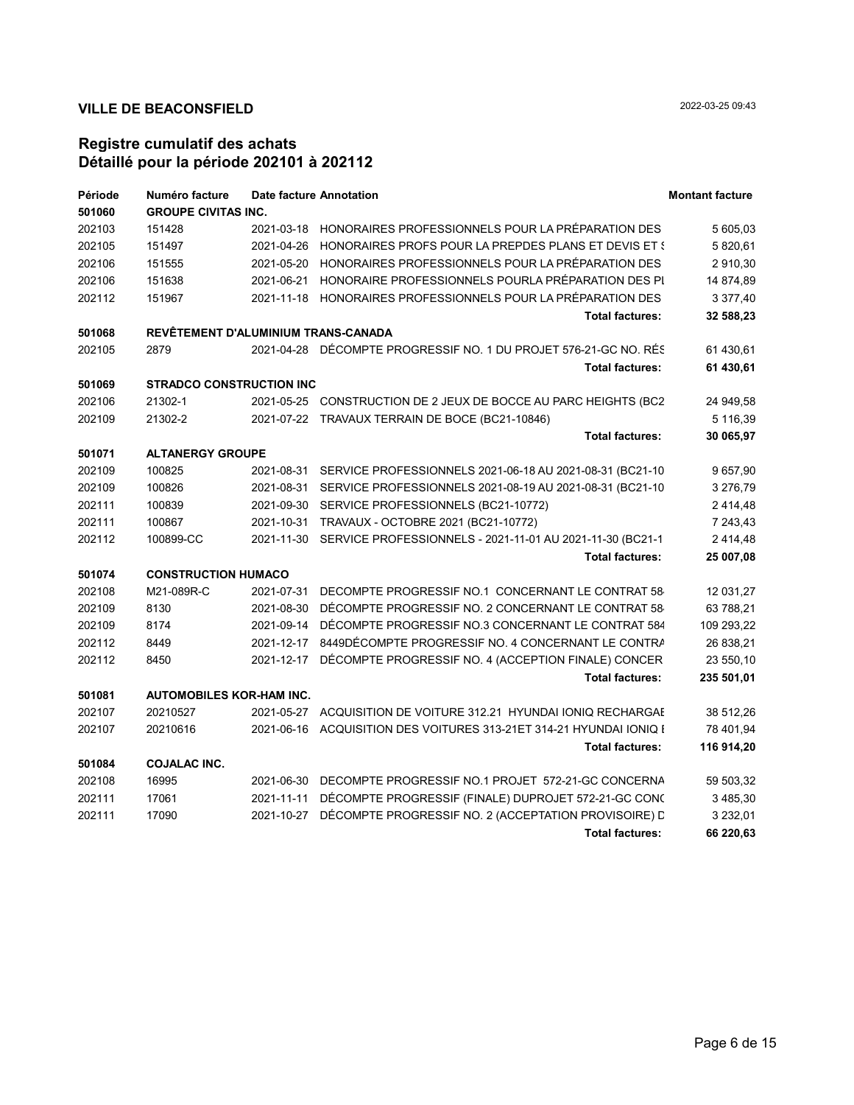| Période | Numéro facture                      |            | <b>Date facture Annotation</b>                                       | <b>Montant facture</b> |
|---------|-------------------------------------|------------|----------------------------------------------------------------------|------------------------|
| 501060  | <b>GROUPE CIVITAS INC.</b>          |            |                                                                      |                        |
| 202103  | 151428                              | 2021-03-18 | HONORAIRES PROFESSIONNELS POUR LA PRÉPARATION DES                    | 5 605,03               |
| 202105  | 151497                              | 2021-04-26 | HONORAIRES PROFS POUR LA PREPDES PLANS ET DEVIS ET {                 | 5 820,61               |
| 202106  | 151555                              | 2021-05-20 | HONORAIRES PROFESSIONNELS POUR LA PRÉPARATION DES                    | 2 910,30               |
| 202106  | 151638                              | 2021-06-21 | HONORAIRE PROFESSIONNELS POURLA PRÉPARATION DES PI                   | 14 874,89              |
| 202112  | 151967                              |            | 2021-11-18 HONORAIRES PROFESSIONNELS POUR LA PRÉPARATION DES         | 3 377,40               |
|         |                                     |            | <b>Total factures:</b>                                               | 32 588,23              |
| 501068  | REVÊTEMENT D'ALUMINIUM TRANS-CANADA |            |                                                                      |                        |
| 202105  | 2879                                |            | 2021-04-28 DÉCOMPTE PROGRESSIF NO. 1 DU PROJET 576-21-GC NO. RÉS     | 61 430.61              |
|         |                                     |            | <b>Total factures:</b>                                               | 61 430,61              |
| 501069  | <b>STRADCO CONSTRUCTION INC</b>     |            |                                                                      |                        |
| 202106  | 21302-1                             |            | 2021-05-25 CONSTRUCTION DE 2 JEUX DE BOCCE AU PARC HEIGHTS (BC2      | 24 949,58              |
| 202109  | 21302-2                             |            | 2021-07-22 TRAVAUX TERRAIN DE BOCE (BC21-10846)                      | 5 116,39               |
|         |                                     |            | <b>Total factures:</b>                                               | 30 065,97              |
| 501071  | <b>ALTANERGY GROUPE</b>             |            |                                                                      |                        |
| 202109  | 100825                              | 2021-08-31 | SERVICE PROFESSIONNELS 2021-06-18 AU 2021-08-31 (BC21-10             | 9 657,90               |
| 202109  | 100826                              | 2021-08-31 | SERVICE PROFESSIONNELS 2021-08-19 AU 2021-08-31 (BC21-10             | 3 276,79               |
| 202111  | 100839                              | 2021-09-30 | SERVICE PROFESSIONNELS (BC21-10772)                                  | 2 4 1 4, 48            |
| 202111  | 100867                              | 2021-10-31 | TRAVAUX - OCTOBRE 2021 (BC21-10772)                                  | 7 243,43               |
| 202112  | 100899-CC                           |            | 2021-11-30 SERVICE PROFESSIONNELS - 2021-11-01 AU 2021-11-30 (BC21-1 | 2 4 1 4, 48            |
|         |                                     |            | <b>Total factures:</b>                                               | 25 007,08              |
| 501074  | <b>CONSTRUCTION HUMACO</b>          |            |                                                                      |                        |
| 202108  | M21-089R-C                          | 2021-07-31 | DECOMPTE PROGRESSIF NO.1 CONCERNANT LE CONTRAT 58                    | 12 031,27              |
| 202109  | 8130                                | 2021-08-30 | DÉCOMPTE PROGRESSIF NO. 2 CONCERNANT LE CONTRAT 58                   | 63 788,21              |
| 202109  | 8174                                | 2021-09-14 | DÉCOMPTE PROGRESSIF NO.3 CONCERNANT LE CONTRAT 584                   | 109 293,22             |
| 202112  | 8449                                | 2021-12-17 | 8449DÉCOMPTE PROGRESSIF NO. 4 CONCERNANT LE CONTRA                   | 26 838,21              |
| 202112  | 8450                                | 2021-12-17 | DÉCOMPTE PROGRESSIF NO. 4 (ACCEPTION FINALE) CONCER                  | 23 550,10              |
|         |                                     |            | <b>Total factures:</b>                                               | 235 501,01             |
| 501081  | <b>AUTOMOBILES KOR-HAM INC.</b>     |            |                                                                      |                        |
| 202107  | 20210527                            | 2021-05-27 | ACQUISITION DE VOITURE 312.21 HYUNDAI IONIQ RECHARGAE                | 38 512,26              |
| 202107  | 20210616                            | 2021-06-16 | ACQUISITION DES VOITURES 313-21ET 314-21 HYUNDAI IONIQ I             | 78 401,94              |
|         |                                     |            | <b>Total factures:</b>                                               | 116 914,20             |
| 501084  | <b>COJALAC INC.</b>                 |            |                                                                      |                        |
| 202108  | 16995                               | 2021-06-30 | DECOMPTE PROGRESSIF NO.1 PROJET 572-21-GC CONCERNA                   | 59 503,32              |
| 202111  | 17061                               | 2021-11-11 | DÉCOMPTE PROGRESSIF (FINALE) DUPROJET 572-21-GC CONC                 | 3 485,30               |
| 202111  | 17090                               | 2021-10-27 | DÉCOMPTE PROGRESSIF NO. 2 (ACCEPTATION PROVISOIRE) L                 | 3 2 3 2,01             |
|         |                                     |            | <b>Total factures:</b>                                               | 66 220,63              |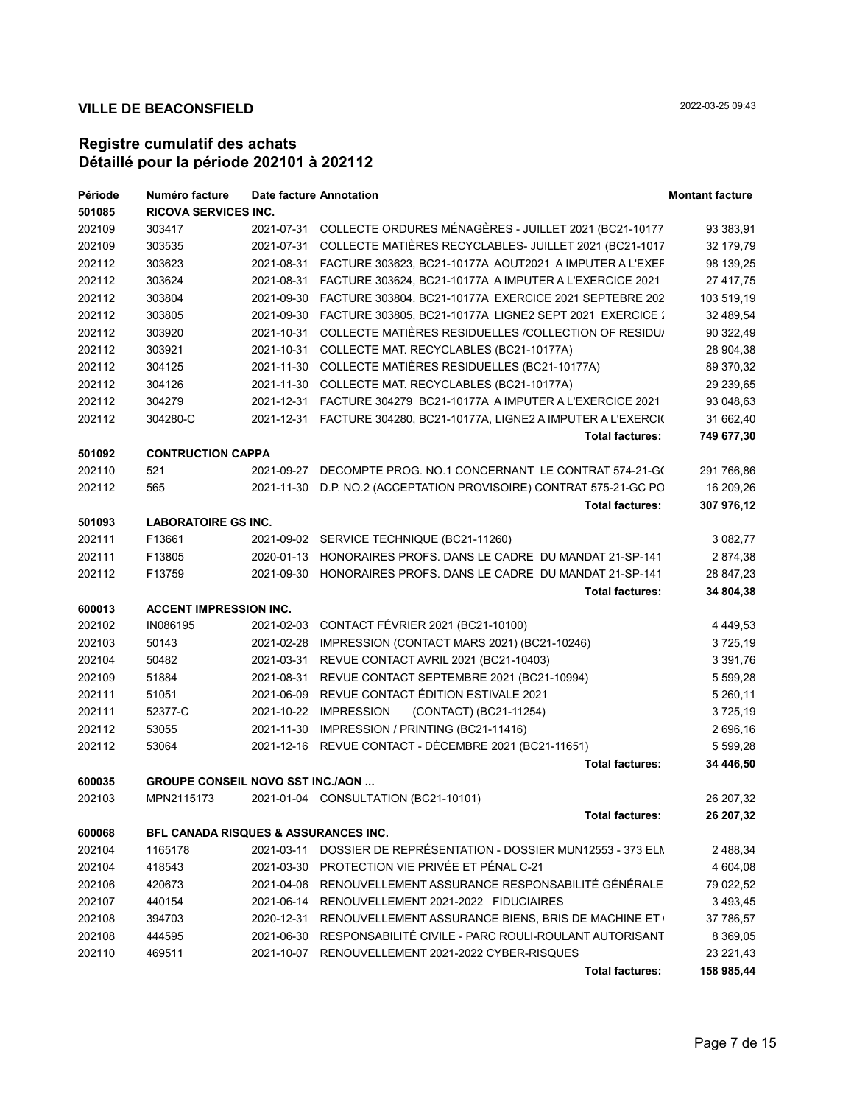| Période | Numéro facture                                  |            | Date facture Annotation                                               | <b>Montant facture</b> |
|---------|-------------------------------------------------|------------|-----------------------------------------------------------------------|------------------------|
| 501085  | <b>RICOVA SERVICES INC.</b>                     |            |                                                                       |                        |
| 202109  | 303417                                          |            | 2021-07-31 COLLECTE ORDURES MÉNAGÈRES - JUILLET 2021 (BC21-10177      | 93 383,91              |
| 202109  | 303535                                          |            | 2021-07-31 COLLECTE MATIÈRES RECYCLABLES- JUILLET 2021 (BC21-1017     | 32 179,79              |
| 202112  | 303623                                          |            | 2021-08-31 FACTURE 303623, BC21-10177A AOUT2021 A IMPUTER A L'EXEF    | 98 139,25              |
| 202112  | 303624                                          | 2021-08-31 | FACTURE 303624, BC21-10177A A IMPUTER A L'EXERCICE 2021               | 27 417,75              |
| 202112  | 303804                                          | 2021-09-30 | FACTURE 303804. BC21-10177A EXERCICE 2021 SEPTEBRE 202                | 103 519,19             |
| 202112  | 303805                                          | 2021-09-30 | FACTURE 303805, BC21-10177A LIGNE2 SEPT 2021 EXERCICE :               | 32 489,54              |
| 202112  | 303920                                          | 2021-10-31 | COLLECTE MATIÈRES RESIDUELLES / COLLECTION OF RESIDU/                 | 90 322,49              |
| 202112  | 303921                                          |            | 2021-10-31 COLLECTE MAT. RECYCLABLES (BC21-10177A)                    | 28 904,38              |
| 202112  | 304125                                          |            | 2021-11-30 COLLECTE MATIÈRES RESIDUELLES (BC21-10177A)                | 89 370,32              |
| 202112  | 304126                                          |            | 2021-11-30 COLLECTE MAT. RECYCLABLES (BC21-10177A)                    | 29 239,65              |
| 202112  | 304279                                          |            | 2021-12-31  FACTURE  304279  BC21-10177A  AIMPUTER A L'EXERCICE  2021 | 93 048,63              |
| 202112  | 304280-C                                        |            | 2021-12-31 FACTURE 304280, BC21-10177A, LIGNE2 A IMPUTER A L'EXERCI(  | 31 662,40              |
|         |                                                 |            | <b>Total factures:</b>                                                | 749 677,30             |
| 501092  | <b>CONTRUCTION CAPPA</b>                        |            |                                                                       |                        |
| 202110  | 521                                             | 2021-09-27 | DECOMPTE PROG. NO.1 CONCERNANT LE CONTRAT 574-21-G(                   | 291 766,86             |
| 202112  | 565                                             |            | 2021-11-30 D.P. NO.2 (ACCEPTATION PROVISOIRE) CONTRAT 575-21-GC PC    | 16 209,26              |
|         |                                                 |            | <b>Total factures:</b>                                                | 307 976,12             |
| 501093  | <b>LABORATOIRE GS INC.</b>                      |            |                                                                       |                        |
| 202111  | F13661                                          |            | 2021-09-02 SERVICE TECHNIQUE (BC21-11260)                             | 3 082,77               |
| 202111  | F13805                                          |            | 2020-01-13 HONORAIRES PROFS. DANS LE CADRE DU MANDAT 21-SP-141        | 2874,38                |
| 202112  | F13759                                          |            | 2021-09-30 HONORAIRES PROFS. DANS LE CADRE DU MANDAT 21-SP-141        | 28 847,23              |
|         |                                                 |            | <b>Total factures:</b>                                                | 34 804,38              |
| 600013  | <b>ACCENT IMPRESSION INC.</b>                   |            |                                                                       |                        |
| 202102  | IN086195                                        |            | 2021-02-03 CONTACT FÉVRIER 2021 (BC21-10100)                          | 4 4 4 9 , 5 3          |
| 202103  | 50143                                           | 2021-02-28 | IMPRESSION (CONTACT MARS 2021) (BC21-10246)                           | 3725,19                |
| 202104  | 50482                                           | 2021-03-31 | REVUE CONTACT AVRIL 2021 (BC21-10403)                                 | 3 3 9 1 , 7 6          |
| 202109  | 51884                                           | 2021-08-31 | REVUE CONTACT SEPTEMBRE 2021 (BC21-10994)                             | 5 599,28               |
| 202111  | 51051                                           |            | 2021-06-09 REVUE CONTACT ÉDITION ESTIVALE 2021                        | 5 260,11               |
| 202111  | 52377-C                                         |            | 2021-10-22 IMPRESSION<br>(CONTACT) (BC21-11254)                       | 3725,19                |
| 202112  | 53055                                           | 2021-11-30 | IMPRESSION / PRINTING (BC21-11416)                                    | 2 696,16               |
| 202112  | 53064                                           |            | 2021-12-16 REVUE CONTACT - DÉCEMBRE 2021 (BC21-11651)                 | 5 599,28               |
|         |                                                 |            | <b>Total factures:</b>                                                | 34 446,50              |
| 600035  | <b>GROUPE CONSEIL NOVO SST INC./AON </b>        |            |                                                                       |                        |
| 202103  | MPN2115173                                      |            | 2021-01-04 CONSULTATION (BC21-10101)                                  | 26 207,32              |
|         |                                                 |            | <b>Total factures:</b>                                                | 26 207,32              |
| 600068  | <b>BFL CANADA RISQUES &amp; ASSURANCES INC.</b> |            |                                                                       |                        |
| 202104  | 1165178                                         | 2021-03-11 | DOSSIER DE REPRÉSENTATION - DOSSIER MUN12553 - 373 ELN                | 2 488,34               |
| 202104  | 418543                                          |            | 2021-03-30 PROTECTION VIE PRIVÉE ET PÉNAL C-21                        | 4 604,08               |
| 202106  | 420673                                          |            | 2021-04-06 RENOUVELLEMENT ASSURANCE RESPONSABILITÉ GÉNÉRALE           | 79 022,52              |
| 202107  | 440154                                          | 2021-06-14 | RENOUVELLEMENT 2021-2022 FIDUCIAIRES                                  | 3 4 9 3 4 5            |
| 202108  | 394703                                          | 2020-12-31 | RENOUVELLEMENT ASSURANCE BIENS, BRIS DE MACHINE ET                    | 37 786,57              |
| 202108  | 444595                                          | 2021-06-30 | RESPONSABILITÉ CIVILE - PARC ROULI-ROULANT AUTORISANT                 | 8 3 6 9 , 0 5          |
| 202110  | 469511                                          | 2021-10-07 | RENOUVELLEMENT 2021-2022 CYBER-RISQUES                                | 23 221,43              |
|         |                                                 |            | <b>Total factures:</b>                                                | 158 985,44             |
|         |                                                 |            |                                                                       |                        |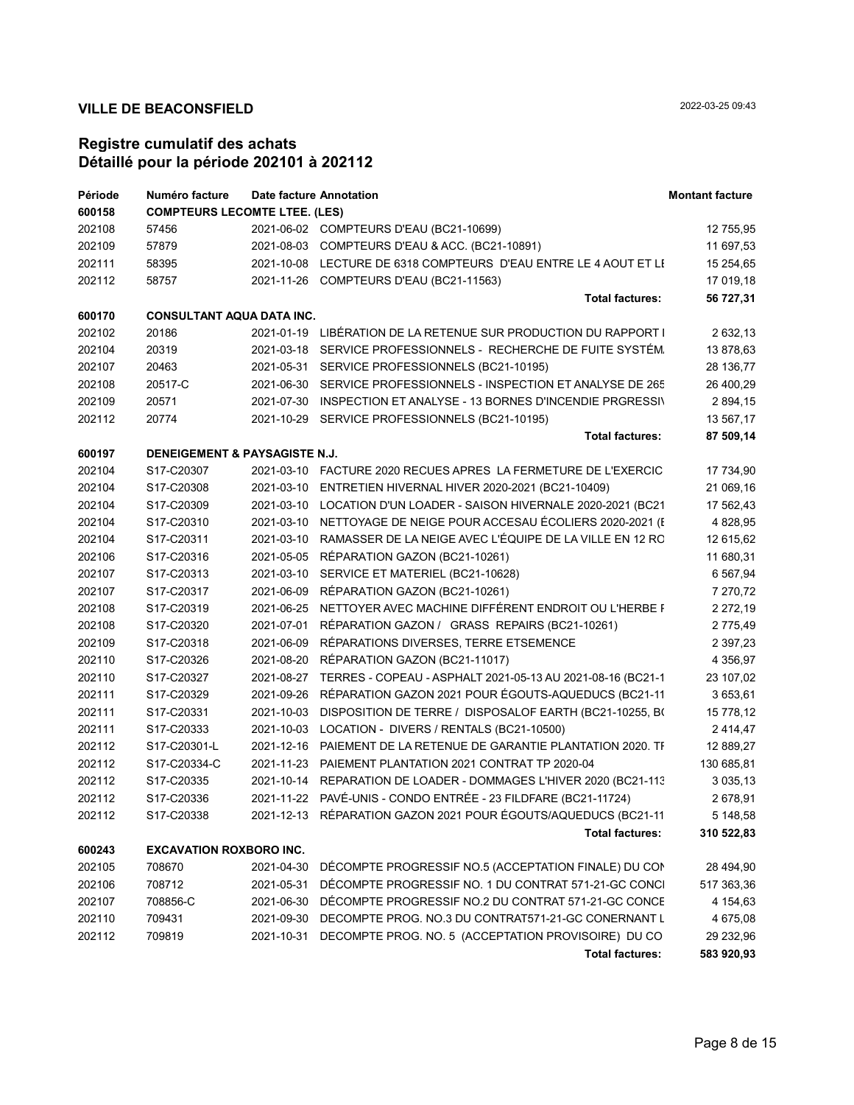| Période | Numéro facture                       |            | Date facture Annotation                                               | <b>Montant facture</b> |
|---------|--------------------------------------|------------|-----------------------------------------------------------------------|------------------------|
| 600158  | <b>COMPTEURS LECOMTE LTEE. (LES)</b> |            |                                                                       |                        |
| 202108  | 57456                                |            | 2021-06-02 COMPTEURS D'EAU (BC21-10699)                               | 12 755,95              |
| 202109  | 57879                                |            | 2021-08-03 COMPTEURS D'EAU & ACC. (BC21-10891)                        | 11 697,53              |
| 202111  | 58395                                |            | 2021-10-08 LECTURE DE 6318 COMPTEURS D'EAU ENTRE LE 4 AOUT ET LI      | 15 254,65              |
| 202112  | 58757                                |            | 2021-11-26 COMPTEURS D'EAU (BC21-11563)                               | 17 019,18              |
|         |                                      |            | <b>Total factures:</b>                                                | 56 727,31              |
| 600170  | <b>CONSULTANT AQUA DATA INC.</b>     |            |                                                                       |                        |
| 202102  | 20186                                |            | 2021-01-19 LIBÉRATION DE LA RETENUE SUR PRODUCTION DU RAPPORT I       | 2 632,13               |
| 202104  | 20319                                |            | 2021-03-18 SERVICE PROFESSIONNELS - RECHERCHE DE FUITE SYSTÉM.        | 13 878,63              |
| 202107  | 20463                                |            | 2021-05-31 SERVICE PROFESSIONNELS (BC21-10195)                        | 28 136,77              |
| 202108  | 20517-C                              |            | 2021-06-30 SERVICE PROFESSIONNELS - INSPECTION ET ANALYSE DE 265      | 26 400,29              |
| 202109  | 20571                                |            | 2021-07-30 INSPECTION ET ANALYSE - 13 BORNES D'INCENDIE PRGRESSIN     | 2 894,15               |
| 202112  | 20774                                |            | 2021-10-29 SERVICE PROFESSIONNELS (BC21-10195)                        | 13 567,17              |
|         |                                      |            | <b>Total factures:</b>                                                | 87 509,14              |
| 600197  | DENEIGEMENT & PAYSAGISTE N.J.        |            |                                                                       |                        |
| 202104  | S17-C20307                           |            | 2021-03-10 FACTURE 2020 RECUES APRES LA FERMETURE DE L'EXERCIC        | 17 734,90              |
| 202104  | S17-C20308                           |            | 2021-03-10 ENTRETIEN HIVERNAL HIVER 2020-2021 (BC21-10409)            | 21 069,16              |
| 202104  | S17-C20309                           |            | 2021-03-10 LOCATION D'UN LOADER - SAISON HIVERNALE 2020-2021 (BC21    | 17 562,43              |
| 202104  | S17-C20310                           |            | 2021-03-10 NETTOYAGE DE NEIGE POUR ACCESAU ÉCOLIERS 2020-2021 (E      | 4 828,95               |
| 202104  | S17-C20311                           |            | 2021-03-10 RAMASSER DE LA NEIGE AVEC L'ÉQUIPE DE LA VILLE EN 12 RC    | 12 615,62              |
| 202106  | S17-C20316                           |            | 2021-05-05 RÉPARATION GAZON (BC21-10261)                              | 11 680,31              |
| 202107  | S17-C20313                           |            | 2021-03-10 SERVICE ET MATERIEL (BC21-10628)                           | 6 5 67,94              |
| 202107  | S17-C20317                           |            | 2021-06-09 RÉPARATION GAZON (BC21-10261)                              | 7 270,72               |
| 202108  | S17-C20319                           |            | 2021-06-25 NETTOYER AVEC MACHINE DIFFÉRENT ENDROIT OU L'HERBE F       | 2 272,19               |
| 202108  | S17-C20320                           | 2021-07-01 | RÉPARATION GAZON / GRASS REPAIRS (BC21-10261)                         | 2 775,49               |
| 202109  | S17-C20318                           |            | 2021-06-09 RÉPARATIONS DIVERSES, TERRE ETSEMENCE                      | 2 3 9 7, 2 3           |
| 202110  | S17-C20326                           |            | 2021-08-20 RÉPARATION GAZON (BC21-11017)                              | 4 3 5 6, 9 7           |
| 202110  | S17-C20327                           |            | 2021-08-27 TERRES - COPEAU - ASPHALT 2021-05-13 AU 2021-08-16 (BC21-1 | 23 107,02              |
| 202111  | S17-C20329                           |            | 2021-09-26 RÉPARATION GAZON 2021 POUR ÉGOUTS-AQUEDUCS (BC21-11        | 3 653,61               |
| 202111  | S17-C20331                           |            | 2021-10-03 DISPOSITION DE TERRE / DISPOSALOF EARTH (BC21-10255, BO    | 15 778,12              |
| 202111  | S17-C20333                           |            | 2021-10-03 LOCATION - DIVERS / RENTALS (BC21-10500)                   | 2414,47                |
| 202112  | S17-C20301-L                         |            | 2021-12-16 PAIEMENT DE LA RETENUE DE GARANTIE PLANTATION 2020. TI     | 12 889,27              |
| 202112  | S17-C20334-C                         |            | 2021-11-23 PAIEMENT PLANTATION 2021 CONTRAT TP 2020-04                | 130 685,81             |
| 202112  | S17-C20335                           |            | 2021-10-14 REPARATION DE LOADER - DOMMAGES L'HIVER 2020 (BC21-113)    | 3 0 3 5 , 1 3          |
| 202112  | S17-C20336                           |            | 2021-11-22 PAVÉ-UNIS - CONDO ENTRÉE - 23 FILDFARE (BC21-11724)        | 2 678,91               |
| 202112  | S17-C20338                           |            | 2021-12-13 RÉPARATION GAZON 2021 POUR ÉGOUTS/AQUEDUCS (BC21-11        | 5 148,58               |
|         |                                      |            | <b>Total factures:</b>                                                | 310 522,83             |
| 600243  | <b>EXCAVATION ROXBORO INC.</b>       |            |                                                                       |                        |
| 202105  | 708670                               | 2021-04-30 | DÉCOMPTE PROGRESSIF NO.5 (ACCEPTATION FINALE) DU CON                  | 28 494,90              |
| 202106  | 708712                               | 2021-05-31 | DÉCOMPTE PROGRESSIF NO. 1 DU CONTRAT 571-21-GC CONCI                  | 517 363,36             |
| 202107  | 708856-C                             | 2021-06-30 | DÉCOMPTE PROGRESSIF NO.2 DU CONTRAT 571-21-GC CONCE                   | 4 154,63               |
| 202110  | 709431                               | 2021-09-30 | DECOMPTE PROG. NO.3 DU CONTRAT571-21-GC CONERNANT L                   | 4 675,08               |
| 202112  | 709819                               | 2021-10-31 | DECOMPTE PROG. NO. 5 (ACCEPTATION PROVISOIRE) DU CO                   | 29 232,96              |
|         |                                      |            | <b>Total factures:</b>                                                | 583 920,93             |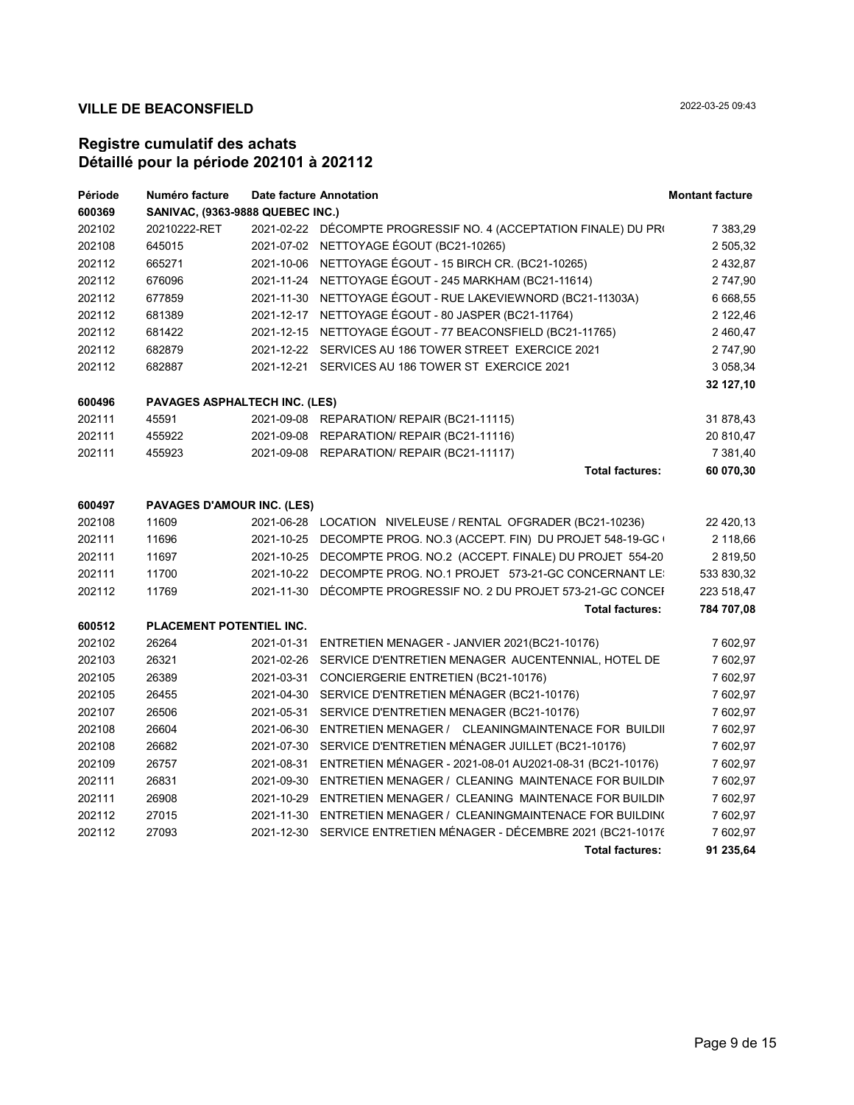| Période | Numéro facture                          |            | <b>Date facture Annotation</b>                                      | <b>Montant facture</b> |  |
|---------|-----------------------------------------|------------|---------------------------------------------------------------------|------------------------|--|
| 600369  | <b>SANIVAC, (9363-9888 QUEBEC INC.)</b> |            |                                                                     |                        |  |
| 202102  | 20210222-RET                            |            | 2021-02-22 DÉCOMPTE PROGRESSIF NO. 4 (ACCEPTATION FINALE) DU PRI    | 7 383,29               |  |
| 202108  | 645015                                  |            | 2021-07-02 NETTOYAGE ÉGOUT (BC21-10265)                             | 2 505,32               |  |
| 202112  | 665271                                  |            | 2021-10-06 NETTOYAGE ÉGOUT - 15 BIRCH CR. (BC21-10265)              | 2 432,87               |  |
| 202112  | 676096                                  |            | 2021-11-24 NETTOYAGE ÉGOUT - 245 MARKHAM (BC21-11614)               | 2 747,90               |  |
| 202112  | 677859                                  |            | 2021-11-30 NETTOYAGE ÉGOUT - RUE LAKEVIEWNORD (BC21-11303A)         | 6 668,55               |  |
| 202112  | 681389                                  |            | 2021-12-17 NETTOYAGE ÉGOUT - 80 JASPER (BC21-11764)                 | 2 122,46               |  |
| 202112  | 681422                                  |            | 2021-12-15 NETTOYAGE ÉGOUT - 77 BEACONSFIELD (BC21-11765)           | 2 460,47               |  |
| 202112  | 682879                                  |            | 2021-12-22 SERVICES AU 186 TOWER STREET EXERCICE 2021               | 2 747,90               |  |
| 202112  | 682887                                  |            | 2021-12-21 SERVICES AU 186 TOWER ST EXERCICE 2021                   | 3 058,34               |  |
|         |                                         |            |                                                                     | 32 127,10              |  |
| 600496  | <b>PAVAGES ASPHALTECH INC. (LES)</b>    |            |                                                                     |                        |  |
| 202111  | 45591                                   |            | 2021-09-08 REPARATION/ REPAIR (BC21-11115)                          | 31 878,43              |  |
| 202111  | 455922                                  |            | 2021-09-08 REPARATION/ REPAIR (BC21-11116)                          | 20 810,47              |  |
| 202111  | 455923                                  |            | 2021-09-08 REPARATION/ REPAIR (BC21-11117)                          | 7 381,40               |  |
|         |                                         |            | <b>Total factures:</b>                                              | 60 070,30              |  |
|         |                                         |            |                                                                     |                        |  |
| 600497  | PAVAGES D'AMOUR INC. (LES)              |            |                                                                     |                        |  |
| 202108  | 11609                                   |            | 2021-06-28 LOCATION NIVELEUSE / RENTAL OFGRADER (BC21-10236)        | 22 420,13              |  |
| 202111  | 11696                                   |            | 2021-10-25 DECOMPTE PROG. NO.3 (ACCEPT. FIN) DU PROJET 548-19-GC    | 2 118,66               |  |
| 202111  | 11697                                   |            | 2021-10-25 DECOMPTE PROG. NO.2 (ACCEPT. FINALE) DU PROJET 554-20    | 2 819,50               |  |
| 202111  | 11700                                   |            | 2021-10-22 DECOMPTE PROG. NO.1 PROJET 573-21-GC CONCERNANT LET      | 533 830,32             |  |
| 202112  | 11769                                   |            | 2021-11-30 DÉCOMPTE PROGRESSIF NO. 2 DU PROJET 573-21-GC CONCEI     | 223 518,47             |  |
|         |                                         |            | <b>Total factures:</b>                                              | 784 707,08             |  |
| 600512  | PLACEMENT POTENTIEL INC.                |            |                                                                     |                        |  |
| 202102  | 26264                                   |            | 2021-01-31 ENTRETIEN MENAGER - JANVIER 2021(BC21-10176)             | 7 602,97               |  |
| 202103  | 26321                                   |            | 2021-02-26 SERVICE D'ENTRETIEN MENAGER AUCENTENNIAL, HOTEL DE       | 7 602,97               |  |
| 202105  | 26389                                   |            | 2021-03-31 CONCIERGERIE ENTRETIEN (BC21-10176)                      | 7 602,97               |  |
| 202105  | 26455                                   |            | 2021-04-30 SERVICE D'ENTRETIEN MÉNAGER (BC21-10176)                 | 7 602,97               |  |
| 202107  | 26506                                   |            | 2021-05-31 SERVICE D'ENTRETIEN MENAGER (BC21-10176)                 | 7 602,97               |  |
| 202108  | 26604                                   |            | 2021-06-30 ENTRETIEN MENAGER / CLEANINGMAINTENACE FOR BUILDII       | 7 602,97               |  |
| 202108  | 26682                                   |            | 2021-07-30 SERVICE D'ENTRETIEN MÉNAGER JUILLET (BC21-10176)         | 7 602,97               |  |
| 202109  | 26757                                   |            | 2021-08-31 ENTRETIEN MÉNAGER - 2021-08-01 AU2021-08-31 (BC21-10176) | 7 602,97               |  |
| 202111  | 26831                                   | 2021-09-30 | ENTRETIEN MENAGER / CLEANING MAINTENACE FOR BUILDIN                 | 7 602,97               |  |
| 202111  | 26908                                   |            | 2021-10-29 ENTRETIEN MENAGER / CLEANING MAINTENACE FOR BUILDIN      | 7 602,97               |  |
| 202112  | 27015                                   |            | 2021-11-30 ENTRETIEN MENAGER / CLEANINGMAINTENACE FOR BUILDIN(      | 7 602,97               |  |
| 202112  | 27093                                   |            | 2021-12-30 SERVICE ENTRETIEN MÉNAGER - DÉCEMBRE 2021 (BC21-10176    | 7 602,97               |  |
|         |                                         |            | <b>Total factures:</b>                                              | 91 235.64              |  |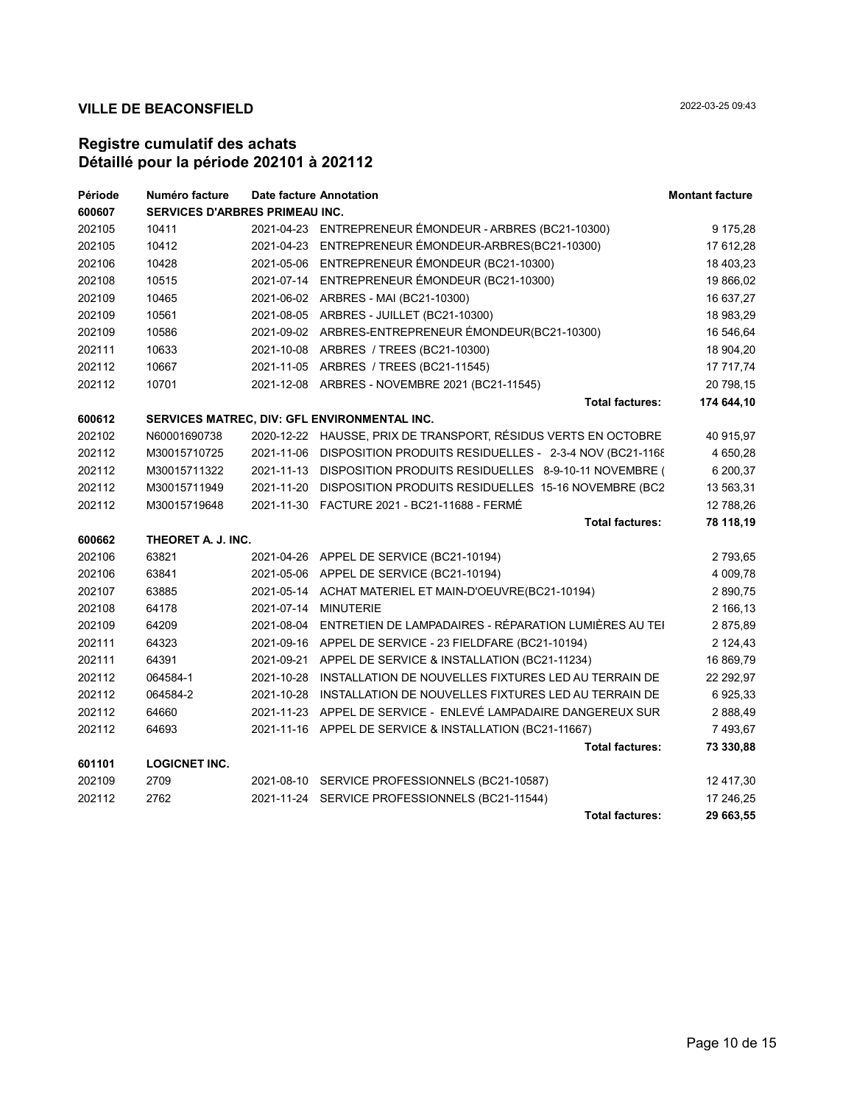| Période | Numéro facture                        | Date facture Annotation |                                                                 | <b>Montant facture</b> |
|---------|---------------------------------------|-------------------------|-----------------------------------------------------------------|------------------------|
| 600607  | <b>SERVICES D'ARBRES PRIMEAU INC.</b> |                         |                                                                 |                        |
| 202105  | 10411                                 |                         | 2021-04-23 ENTREPRENEUR ÉMONDEUR - ARBRES (BC21-10300)          | 9 175,28               |
| 202105  | 10412                                 | 2021-04-23              | ENTREPRENEUR ÉMONDEUR-ARBRES(BC21-10300)                        | 17 612,28              |
| 202106  | 10428                                 | 2021-05-06              | ENTREPRENEUR ÉMONDEUR (BC21-10300)                              | 18 403,23              |
| 202108  | 10515                                 |                         | 2021-07-14 ENTREPRENEUR ÉMONDEUR (BC21-10300)                   | 19 866,02              |
| 202109  | 10465                                 |                         | 2021-06-02 ARBRES - MAI (BC21-10300)                            | 16 637,27              |
| 202109  | 10561                                 |                         | 2021-08-05 ARBRES - JUILLET (BC21-10300)                        | 18 983,29              |
| 202109  | 10586                                 |                         | 2021-09-02 ARBRES-ENTREPRENEUR ÉMONDEUR(BC21-10300)             | 16 546,64              |
| 202111  | 10633                                 |                         | 2021-10-08 ARBRES / TREES (BC21-10300)                          | 18 904,20              |
| 202112  | 10667                                 |                         | 2021-11-05 ARBRES / TREES (BC21-11545)                          | 17 717,74              |
| 202112  | 10701                                 |                         | 2021-12-08 ARBRES - NOVEMBRE 2021 (BC21-11545)                  | 20 798,15              |
|         |                                       |                         | <b>Total factures:</b>                                          | 174 644,10             |
| 600612  |                                       |                         | SERVICES MATREC, DIV: GFL ENVIRONMENTAL INC.                    |                        |
| 202102  | N60001690738                          |                         | 2020-12-22 HAUSSE, PRIX DE TRANSPORT, RÉSIDUS VERTS EN OCTOBRE  | 40 915,97              |
| 202112  | M30015710725                          | 2021-11-06              | DISPOSITION PRODUITS RESIDUELLES - 2-3-4 NOV (BC21-1168)        | 4 650,28               |
| 202112  | M30015711322                          | 2021-11-13              | DISPOSITION PRODUITS RESIDUELLES 8-9-10-11 NOVEMBRE (           | 6 200,37               |
| 202112  | M30015711949                          | 2021-11-20              | DISPOSITION PRODUITS RESIDUELLES 15-16 NOVEMBRE (BC2            | 13 563,31              |
| 202112  | M30015719648                          |                         |                                                                 | 12 788,26              |
|         |                                       |                         | <b>Total factures:</b>                                          | 78 118,19              |
| 600662  | THEORET A. J. INC.                    |                         |                                                                 |                        |
| 202106  | 63821                                 |                         | 2021-04-26 APPEL DE SERVICE (BC21-10194)                        | 2 793,65               |
| 202106  | 63841                                 |                         | 2021-05-06 APPEL DE SERVICE (BC21-10194)                        | 4 009,78               |
| 202107  | 63885                                 |                         | 2021-05-14 ACHAT MATERIEL ET MAIN-D'OEUVRE(BC21-10194)          | 2 890,75               |
| 202108  | 64178                                 | 2021-07-14              | <b>MINUTERIE</b>                                                | 2 166,13               |
| 202109  | 64209                                 | 2021-08-04              | ENTRETIEN DE LAMPADAIRES - RÉPARATION LUMIÈRES AU TEI           | 2875,89                |
| 202111  | 64323                                 |                         | 2021-09-16 APPEL DE SERVICE - 23 FIELDFARE (BC21-10194)         | 2 124,43               |
| 202111  | 64391                                 |                         | 2021-09-21 APPEL DE SERVICE & INSTALLATION (BC21-11234)         | 16 869,79              |
| 202112  | 064584-1                              | 2021-10-28              | INSTALLATION DE NOUVELLES FIXTURES LED AU TERRAIN DE            | 22 292,97              |
| 202112  | 064584-2                              |                         | 2021-10-28 INSTALLATION DE NOUVELLES FIXTURES LED AU TERRAIN DE | 6925,33                |
| 202112  | 64660                                 |                         | 2021-11-23 APPEL DE SERVICE - ENLEVÉ LAMPADAIRE DANGEREUX SUR   | 2 888,49               |
| 202112  | 64693                                 |                         | 2021-11-16 APPEL DE SERVICE & INSTALLATION (BC21-11667)         | 7 493,67               |
|         |                                       |                         | <b>Total factures:</b>                                          | 73 330,88              |
| 601101  | <b>LOGICNET INC.</b>                  |                         |                                                                 |                        |
| 202109  | 2709                                  |                         | 2021-08-10 SERVICE PROFESSIONNELS (BC21-10587)                  | 12 417,30              |
| 202112  | 2762                                  |                         | 2021-11-24 SERVICE PROFESSIONNELS (BC21-11544)                  | 17 246,25              |
|         |                                       |                         | <b>Total factures:</b>                                          | 29 663,55              |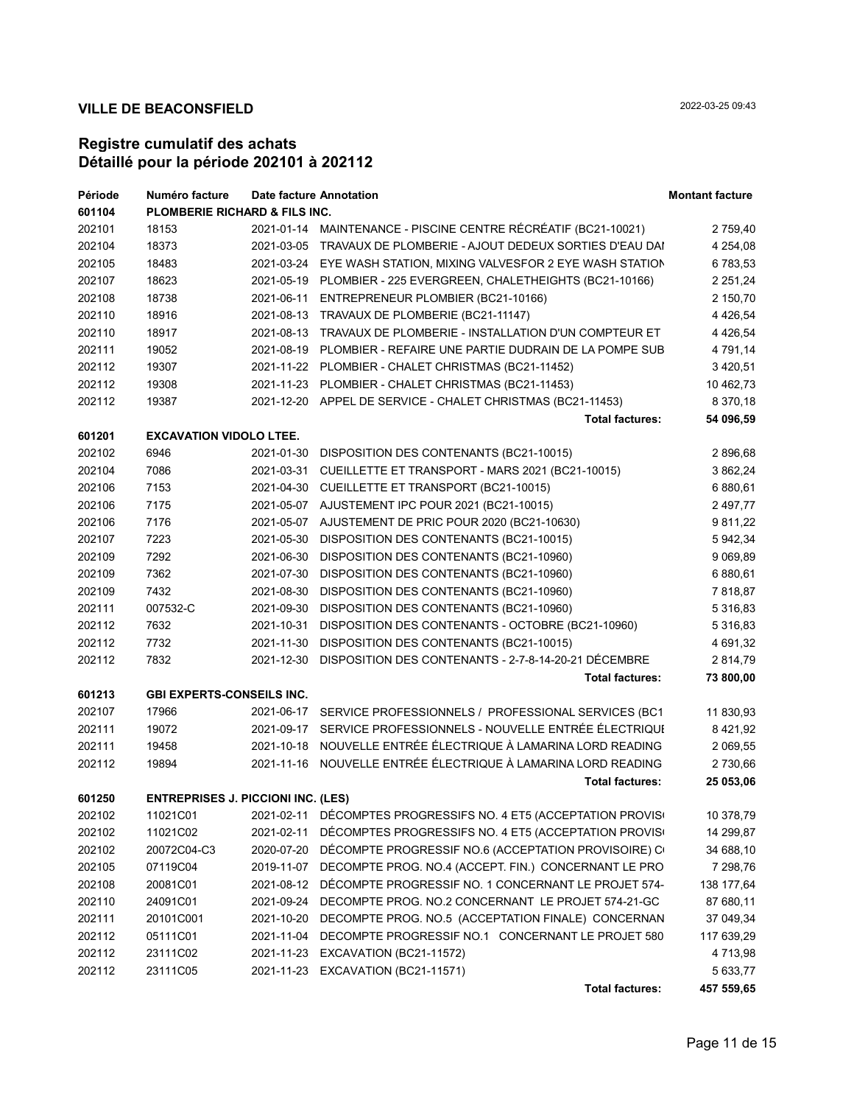| Période | Numéro facture                            |            | <b>Date facture Annotation</b>                                   | <b>Montant facture</b> |
|---------|-------------------------------------------|------------|------------------------------------------------------------------|------------------------|
| 601104  | <b>PLOMBERIE RICHARD &amp; FILS INC.</b>  |            |                                                                  |                        |
| 202101  | 18153                                     |            | 2021-01-14 MAINTENANCE - PISCINE CENTRE RÉCRÉATIF (BC21-10021)   | 2 759,40               |
| 202104  | 18373                                     |            | 2021-03-05 TRAVAUX DE PLOMBERIE - AJOUT DEDEUX SORTIES D'EAU DAI | 4 254,08               |
| 202105  | 18483                                     |            | 2021-03-24 EYE WASH STATION, MIXING VALVESFOR 2 EYE WASH STATION | 6 783,53               |
| 202107  | 18623                                     |            | 2021-05-19 PLOMBIER - 225 EVERGREEN, CHALETHEIGHTS (BC21-10166)  | 2 2 5 1 , 2 4          |
| 202108  | 18738                                     |            | 2021-06-11 ENTREPRENEUR PLOMBIER (BC21-10166)                    | 2 150,70               |
| 202110  | 18916                                     |            | 2021-08-13 TRAVAUX DE PLOMBERIE (BC21-11147)                     | 4 4 26,54              |
| 202110  | 18917                                     |            | 2021-08-13 TRAVAUX DE PLOMBERIE - INSTALLATION D'UN COMPTEUR ET  | 4 4 26,54              |
| 202111  | 19052                                     |            | 2021-08-19 PLOMBIER - REFAIRE UNE PARTIE DUDRAIN DE LA POMPE SUB | 4 791,14               |
| 202112  | 19307                                     |            | 2021-11-22 PLOMBIER - CHALET CHRISTMAS (BC21-11452)              | 3 4 20, 51             |
| 202112  | 19308                                     |            | 2021-11-23 PLOMBIER - CHALET CHRISTMAS (BC21-11453)              | 10 462,73              |
| 202112  | 19387                                     |            | 2021-12-20 APPEL DE SERVICE - CHALET CHRISTMAS (BC21-11453)      | 8 370,18               |
|         |                                           |            | <b>Total factures:</b>                                           | 54 096,59              |
| 601201  | <b>EXCAVATION VIDOLO LTEE.</b>            |            |                                                                  |                        |
| 202102  | 6946                                      |            | 2021-01-30 DISPOSITION DES CONTENANTS (BC21-10015)               | 2 896,68               |
| 202104  | 7086                                      |            | 2021-03-31 CUEILLETTE ET TRANSPORT - MARS 2021 (BC21-10015)      | 3 862,24               |
| 202106  | 7153                                      |            | 2021-04-30 CUEILLETTE ET TRANSPORT (BC21-10015)                  | 6 880,61               |
| 202106  | 7175                                      |            | 2021-05-07 AJUSTEMENT IPC POUR 2021 (BC21-10015)                 | 2 497,77               |
| 202106  | 7176                                      |            | 2021-05-07 AJUSTEMENT DE PRIC POUR 2020 (BC21-10630)             | 9 811,22               |
| 202107  | 7223                                      |            | 2021-05-30 DISPOSITION DES CONTENANTS (BC21-10015)               | 5 942,34               |
| 202109  | 7292                                      |            | 2021-06-30 DISPOSITION DES CONTENANTS (BC21-10960)               | 9 0 69,89              |
| 202109  | 7362                                      |            | 2021-07-30 DISPOSITION DES CONTENANTS (BC21-10960)               | 6 880,61               |
| 202109  | 7432                                      |            | 2021-08-30 DISPOSITION DES CONTENANTS (BC21-10960)               | 7818,87                |
| 202111  | 007532-C                                  |            | 2021-09-30 DISPOSITION DES CONTENANTS (BC21-10960)               | 5 3 1 6, 8 3           |
| 202112  | 7632                                      |            | 2021-10-31 DISPOSITION DES CONTENANTS - OCTOBRE (BC21-10960)     | 5 3 1 6, 8 3           |
| 202112  | 7732                                      |            | 2021-11-30 DISPOSITION DES CONTENANTS (BC21-10015)               | 4 691,32               |
| 202112  | 7832                                      |            | 2021-12-30 DISPOSITION DES CONTENANTS - 2-7-8-14-20-21 DÉCEMBRE  | 2814,79                |
|         |                                           |            | <b>Total factures:</b>                                           | 73 800,00              |
| 601213  | <b>GBI EXPERTS-CONSEILS INC.</b>          |            |                                                                  |                        |
| 202107  | 17966                                     |            | 2021-06-17 SERVICE PROFESSIONNELS / PROFESSIONAL SERVICES (BC1   | 11 830,93              |
| 202111  | 19072                                     |            | 2021-09-17 SERVICE PROFESSIONNELS - NOUVELLE ENTRÉE ÉLECTRIQUI   | 8 4 21, 9 2            |
| 202111  | 19458                                     |            | 2021-10-18 NOUVELLE ENTRÉE ÉLECTRIQUE À LAMARINA LORD READING    | 2 069,55               |
| 202112  | 19894                                     |            | 2021-11-16 NOUVELLE ENTRÉE ÉLECTRIQUE À LAMARINA LORD READING    | 2 730,66               |
|         |                                           |            | <b>Total factures:</b>                                           | 25 053,06              |
| 601250  | <b>ENTREPRISES J. PICCIONI INC. (LES)</b> |            |                                                                  |                        |
| 202102  | 11021C01                                  |            | 2021-02-11 DÉCOMPTES PROGRESSIFS NO. 4 ET5 (ACCEPTATION PROVIS   | 10 378,79              |
| 202102  | 11021C02                                  | 2021-02-11 | DECOMPTES PROGRESSIFS NO. 4 ET5 (ACCEPTATION PROVISE             | 14 299,87              |
| 202102  | 20072C04-C3                               |            | 2020-07-20 DÉCOMPTE PROGRESSIF NO.6 (ACCEPTATION PROVISOIRE) C   | 34 688,10              |
| 202105  | 07119C04                                  |            | 2019-11-07 DECOMPTE PROG. NO.4 (ACCEPT. FIN.) CONCERNANT LE PRO  | 7 298,76               |
|         | 20081C01                                  |            | 2021-08-12 DÉCOMPTE PROGRESSIF NO. 1 CONCERNANT LE PROJET 574-   |                        |
| 202108  |                                           |            |                                                                  | 138 177,64             |
| 202110  | 24091C01                                  |            | 2021-09-24 DECOMPTE PROG. NO.2 CONCERNANT LE PROJET 574-21-GC    | 87 680,11              |
| 202111  | 20101C001                                 | 2021-10-20 | DECOMPTE PROG. NO.5 (ACCEPTATION FINALE) CONCERNAN               | 37 049,34              |
| 202112  | 05111C01                                  | 2021-11-04 | DECOMPTE PROGRESSIF NO.1 CONCERNANT LE PROJET 580                | 117 639,29             |
| 202112  | 23111C02                                  |            | 2021-11-23 EXCAVATION (BC21-11572)                               | 4 7 1 3 , 9 8          |
| 202112  | 23111C05                                  |            | 2021-11-23 EXCAVATION (BC21-11571)                               | 5 633,77               |
|         |                                           |            | <b>Total factures:</b>                                           | 457 559,65             |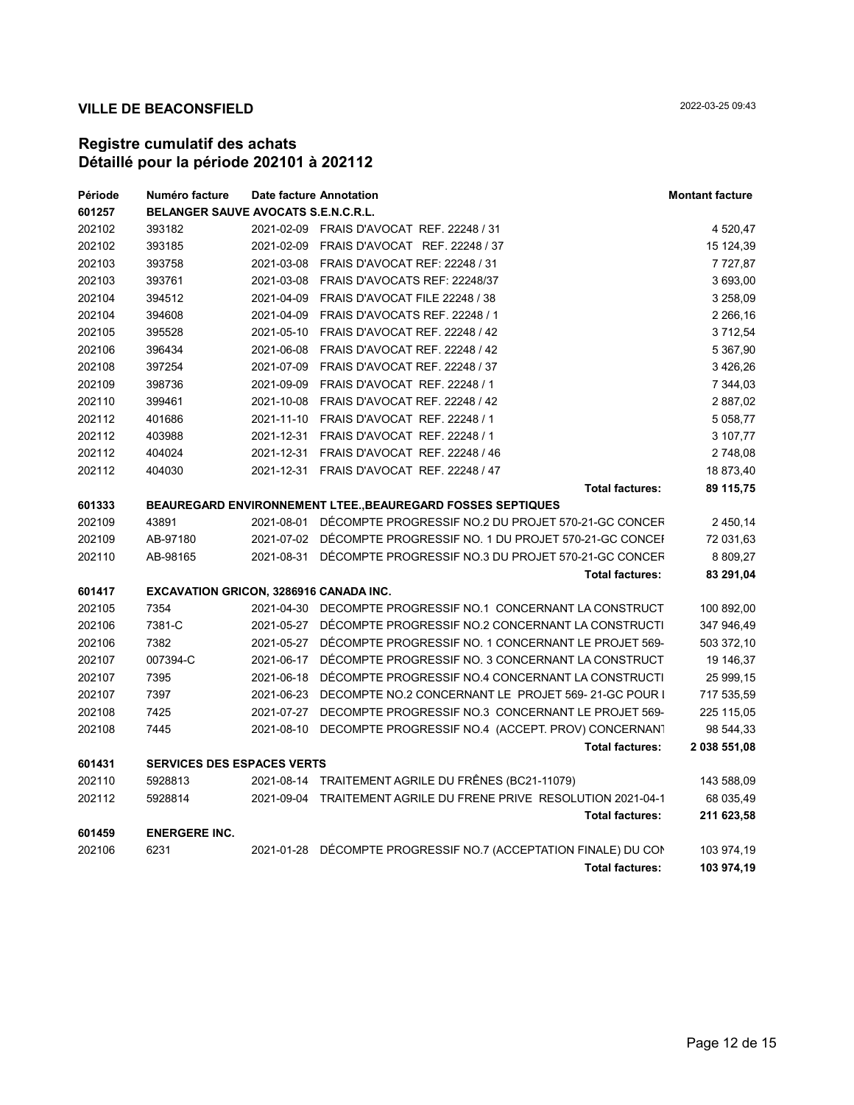| Période | Numéro facture                         | Date facture Annotation                                            | <b>Montant facture</b> |
|---------|----------------------------------------|--------------------------------------------------------------------|------------------------|
| 601257  | BELANGER SAUVE AVOCATS S.E.N.C.R.L.    |                                                                    |                        |
| 202102  | 393182                                 | 2021-02-09 FRAIS D'AVOCAT REF. 22248 / 31                          | 4 520,47               |
| 202102  | 393185                                 | 2021-02-09 FRAIS D'AVOCAT REF. 22248 / 37                          | 15 124,39              |
| 202103  | 393758                                 | 2021-03-08 FRAIS D'AVOCAT REF: 22248 / 31                          | 7 7 2 7 8 7            |
| 202103  | 393761                                 | 2021-03-08 FRAIS D'AVOCATS REF: 22248/37                           | 3 693,00               |
| 202104  | 394512                                 | 2021-04-09 FRAIS D'AVOCAT FILE 22248 / 38                          | 3 258,09               |
| 202104  | 394608                                 | 2021-04-09 FRAIS D'AVOCATS REF. 22248 / 1                          | 2 266,16               |
| 202105  | 395528                                 | 2021-05-10 FRAIS D'AVOCAT REF. 22248 / 42                          | 3 712,54               |
| 202106  | 396434                                 | 2021-06-08 FRAIS D'AVOCAT REF. 22248 / 42                          | 5 367,90               |
| 202108  | 397254                                 | 2021-07-09 FRAIS D'AVOCAT REF. 22248 / 37                          | 3426,26                |
| 202109  | 398736                                 | 2021-09-09 FRAIS D'AVOCAT REF. 22248 / 1                           | 7 344,03               |
| 202110  | 399461                                 | 2021-10-08 FRAIS D'AVOCAT REF. 22248 / 42                          | 2 887,02               |
| 202112  | 401686                                 | 2021-11-10 FRAIS D'AVOCAT REF. 22248 / 1                           | 5 0 58, 77             |
| 202112  | 403988                                 | 2021-12-31 FRAIS D'AVOCAT REF. 22248 / 1                           | 3 107,77               |
| 202112  | 404024                                 | 2021-12-31 FRAIS D'AVOCAT REF. 22248 / 46                          | 2 748,08               |
| 202112  | 404030                                 | 2021-12-31 FRAIS D'AVOCAT REF. 22248 / 47                          | 18 873,40              |
|         |                                        | <b>Total factures:</b>                                             | 89 115,75              |
| 601333  |                                        | <b>BEAUREGARD ENVIRONNEMENT LTEE., BEAUREGARD FOSSES SEPTIQUES</b> |                        |
| 202109  | 43891                                  | 2021-08-01 DÉCOMPTE PROGRESSIF NO.2 DU PROJET 570-21-GC CONCER     | 2 450,14               |
| 202109  | AB-97180                               | 2021-07-02 DÉCOMPTE PROGRESSIF NO. 1 DU PROJET 570-21-GC CONCEI    | 72 031,63              |
| 202110  | AB-98165                               | 2021-08-31 DÉCOMPTE PROGRESSIF NO.3 DU PROJET 570-21-GC CONCER     | 8 809,27               |
|         |                                        | <b>Total factures:</b>                                             | 83 291,04              |
| 601417  | EXCAVATION GRICON, 3286916 CANADA INC. |                                                                    |                        |
| 202105  | 7354                                   | 2021-04-30 DECOMPTE PROGRESSIF NO.1 CONCERNANT LA CONSTRUCT        | 100 892,00             |
| 202106  | 7381-C                                 | 2021-05-27 DÉCOMPTE PROGRESSIF NO.2 CONCERNANT LA CONSTRUCTI       | 347 946,49             |
| 202106  | 7382                                   | 2021-05-27 DÉCOMPTE PROGRESSIF NO. 1 CONCERNANT LE PROJET 569-     | 503 372,10             |
| 202107  | 007394-C                               | 2021-06-17 DÉCOMPTE PROGRESSIF NO. 3 CONCERNANT LA CONSTRUCT       | 19 146,37              |
| 202107  | 7395                                   | 2021-06-18 DÉCOMPTE PROGRESSIF NO.4 CONCERNANT LA CONSTRUCTI       | 25 999,15              |
| 202107  | 7397                                   | 2021-06-23 DECOMPTE NO.2 CONCERNANT LE PROJET 569-21-GC POUR I     | 717 535,59             |
| 202108  | 7425                                   | 2021-07-27 DECOMPTE PROGRESSIF NO.3 CONCERNANT LE PROJET 569-      | 225 115,05             |
| 202108  | 7445                                   | 2021-08-10 DECOMPTE PROGRESSIF NO.4 (ACCEPT. PROV) CONCERNANT      | 98 544,33              |
|         |                                        | <b>Total factures:</b>                                             | 2 038 551,08           |
| 601431  | <b>SERVICES DES ESPACES VERTS</b>      |                                                                    |                        |
| 202110  | 5928813                                | 2021-08-14 TRAITEMENT AGRILE DU FRÊNES (BC21-11079)                | 143 588,09             |
| 202112  | 5928814                                | 2021-09-04 TRAITEMENT AGRILE DU FRENE PRIVE RESOLUTION 2021-04-1   | 68 035,49              |
|         |                                        | <b>Total factures:</b>                                             | 211 623,58             |
| 601459  | <b>ENERGERE INC.</b>                   |                                                                    |                        |
| 202106  | 6231                                   | 2021-01-28 DÉCOMPTE PROGRESSIF NO.7 (ACCEPTATION FINALE) DU CON    | 103 974,19             |
|         |                                        | <b>Total factures:</b>                                             | 103 974,19             |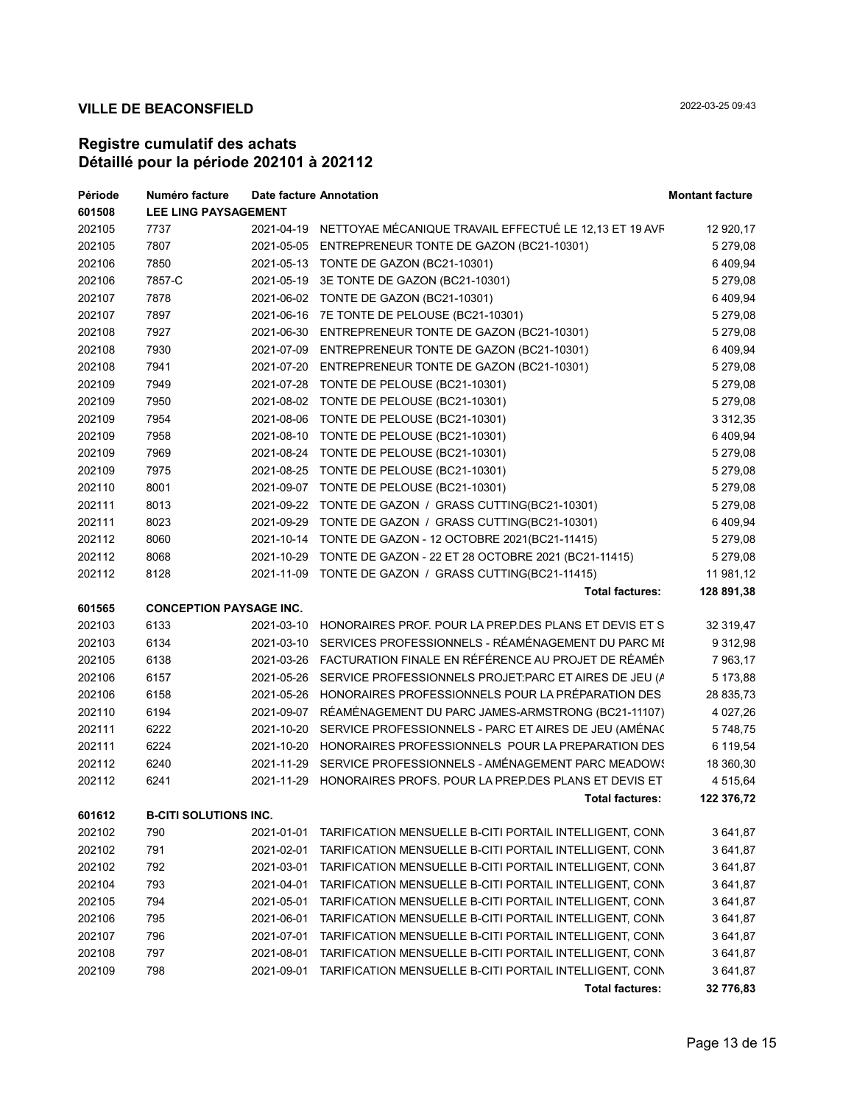| Période | Numéro facture                 | Date facture Annotation |                                                                   | <b>Montant facture</b> |
|---------|--------------------------------|-------------------------|-------------------------------------------------------------------|------------------------|
| 601508  | <b>LEE LING PAYSAGEMENT</b>    |                         |                                                                   |                        |
| 202105  | 7737                           |                         | 2021-04-19 NETTOYAE MÉCANIQUE TRAVAIL EFFECTUÉ LE 12,13 ET 19 AVF | 12 920,17              |
| 202105  | 7807                           |                         | 2021-05-05 ENTREPRENEUR TONTE DE GAZON (BC21-10301)               | 5 279,08               |
| 202106  | 7850                           |                         | 2021-05-13 TONTE DE GAZON (BC21-10301)                            | 6 409,94               |
| 202106  | 7857-C                         |                         | 2021-05-19 3E TONTE DE GAZON (BC21-10301)                         | 5 279,08               |
| 202107  | 7878                           |                         | 2021-06-02 TONTE DE GAZON (BC21-10301)                            | 6 409,94               |
| 202107  | 7897                           |                         | 2021-06-16 7E TONTE DE PELOUSE (BC21-10301)                       | 5 279,08               |
| 202108  | 7927                           |                         | 2021-06-30 ENTREPRENEUR TONTE DE GAZON (BC21-10301)               | 5 279,08               |
| 202108  | 7930                           |                         | 2021-07-09 ENTREPRENEUR TONTE DE GAZON (BC21-10301)               | 6 409,94               |
| 202108  | 7941                           |                         | 2021-07-20 ENTREPRENEUR TONTE DE GAZON (BC21-10301)               | 5 279,08               |
| 202109  | 7949                           |                         | 2021-07-28 TONTE DE PELOUSE (BC21-10301)                          | 5 279,08               |
| 202109  | 7950                           |                         | 2021-08-02 TONTE DE PELOUSE (BC21-10301)                          | 5 279,08               |
| 202109  | 7954                           |                         | 2021-08-06 TONTE DE PELOUSE (BC21-10301)                          | 3 3 1 2 , 3 5          |
| 202109  | 7958                           |                         | 2021-08-10 TONTE DE PELOUSE (BC21-10301)                          | 6 409,94               |
| 202109  | 7969                           |                         | 2021-08-24 TONTE DE PELOUSE (BC21-10301)                          | 5 279,08               |
| 202109  | 7975                           |                         | 2021-08-25 TONTE DE PELOUSE (BC21-10301)                          | 5 279,08               |
| 202110  | 8001                           |                         | 2021-09-07 TONTE DE PELOUSE (BC21-10301)                          | 5 279,08               |
| 202111  | 8013                           |                         | 2021-09-22 TONTE DE GAZON / GRASS CUTTING(BC21-10301)             | 5 279,08               |
| 202111  | 8023                           |                         | 2021-09-29 TONTE DE GAZON / GRASS CUTTING(BC21-10301)             | 6 409,94               |
| 202112  | 8060                           |                         | 2021-10-14 TONTE DE GAZON - 12 OCTOBRE 2021(BC21-11415)           | 5 279,08               |
| 202112  | 8068                           |                         | 2021-10-29 TONTE DE GAZON - 22 ET 28 OCTOBRE 2021 (BC21-11415)    | 5 279,08               |
| 202112  | 8128                           |                         | 2021-11-09 TONTE DE GAZON / GRASS CUTTING(BC21-11415)             | 11 981,12              |
|         |                                |                         | <b>Total factures:</b>                                            | 128 891,38             |
| 601565  | <b>CONCEPTION PAYSAGE INC.</b> |                         |                                                                   |                        |
| 202103  | 6133                           |                         | 2021-03-10 HONORAIRES PROF. POUR LA PREP DES PLANS ET DEVIS ET S  | 32 319,47              |
| 202103  | 6134                           |                         | 2021-03-10 SERVICES PROFESSIONNELS - RÉAMÉNAGEMENT DU PARC MI     | 9 3 1 2,98             |
| 202105  | 6138                           |                         | 2021-03-26 FACTURATION FINALE EN RÉFÉRENCE AU PROJET DE RÉAMÉN    | 7 963,17               |
| 202106  | 6157                           |                         | 2021-05-26 SERVICE PROFESSIONNELS PROJET: PARC ET AIRES DE JEU (A | 5 173,88               |
| 202106  | 6158                           |                         | 2021-05-26 HONORAIRES PROFESSIONNELS POUR LA PRÉPARATION DES      | 28 835,73              |
| 202110  | 6194                           |                         | 2021-09-07 RÉAMÉNAGEMENT DU PARC JAMES-ARMSTRONG (BC21-11107)     | 4 0 27, 26             |
| 202111  | 6222                           |                         | 2021-10-20 SERVICE PROFESSIONNELS - PARC ET AIRES DE JEU (AMÉNAC  | 5748,75                |
| 202111  | 6224                           |                         | 2021-10-20 HONORAIRES PROFESSIONNELS POUR LA PREPARATION DES      | 6 119,54               |
| 202112  | 6240                           |                         | 2021-11-29 SERVICE PROFESSIONNELS - AMÉNAGEMENT PARC MEADOW!      | 18 360,30              |
| 202112  | 6241                           |                         | 2021-11-29 HONORAIRES PROFS. POUR LA PREP.DES PLANS ET DEVIS ET   | 4 515,64               |
|         |                                |                         | <b>Total factures:</b>                                            | 122 376,72             |
| 601612  | <b>B-CITI SOLUTIONS INC.</b>   |                         |                                                                   |                        |
| 202102  | 790                            | 2021-01-01              | TARIFICATION MENSUELLE B-CITI PORTAIL INTELLIGENT, CONN           | 3 641,87               |
| 202102  | 791                            | 2021-02-01              | TARIFICATION MENSUELLE B-CITI PORTAIL INTELLIGENT, CONN           | 3 641,87               |
| 202102  | 792                            | 2021-03-01              | TARIFICATION MENSUELLE B-CITI PORTAIL INTELLIGENT, CONN           | 3 641,87               |
| 202104  | 793                            | 2021-04-01              | TARIFICATION MENSUELLE B-CITI PORTAIL INTELLIGENT, CONN           | 3 641,87               |
| 202105  | 794                            | 2021-05-01              | TARIFICATION MENSUELLE B-CITI PORTAIL INTELLIGENT, CONN           | 3 641,87               |
| 202106  | 795                            | 2021-06-01              | TARIFICATION MENSUELLE B-CITI PORTAIL INTELLIGENT, CONN           | 3 641,87               |
| 202107  | 796                            | 2021-07-01              | TARIFICATION MENSUELLE B-CITI PORTAIL INTELLIGENT, CONN           | 3 641,87               |
| 202108  | 797                            | 2021-08-01              | TARIFICATION MENSUELLE B-CITI PORTAIL INTELLIGENT, CONN           | 3 641,87               |
| 202109  | 798                            | 2021-09-01              | TARIFICATION MENSUELLE B-CITI PORTAIL INTELLIGENT, CONN           | 3 641,87               |
|         |                                |                         | <b>Total factures:</b>                                            | 32 776,83              |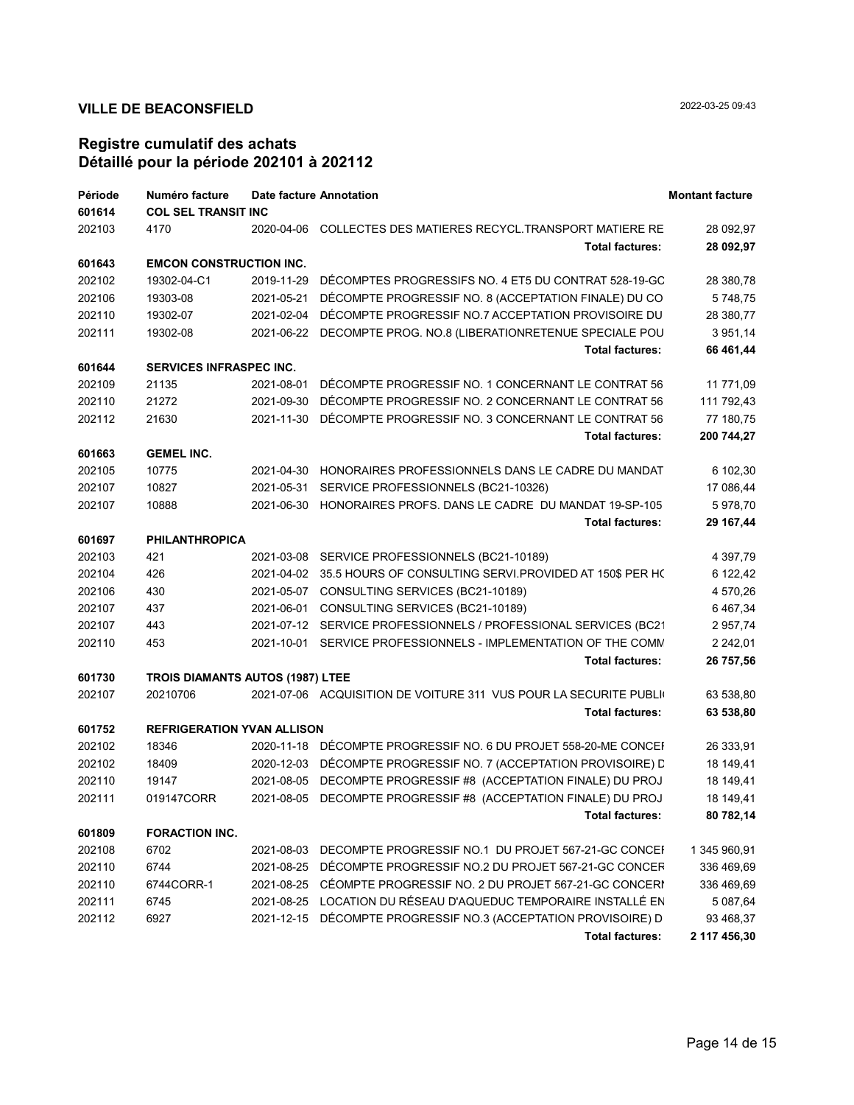| Période | Numéro facture                          |            | Date facture Annotation                                            | <b>Montant facture</b> |  |
|---------|-----------------------------------------|------------|--------------------------------------------------------------------|------------------------|--|
| 601614  | <b>COL SEL TRANSIT INC</b>              |            |                                                                    |                        |  |
| 202103  | 4170                                    |            | 2020-04-06 COLLECTES DES MATIERES RECYCL.TRANSPORT MATIERE RE      | 28 092,97              |  |
|         |                                         |            | <b>Total factures:</b>                                             | 28 092,97              |  |
| 601643  | <b>EMCON CONSTRUCTION INC.</b>          |            |                                                                    |                        |  |
| 202102  | 19302-04-C1                             | 2019-11-29 | DECOMPTES PROGRESSIFS NO. 4 ET5 DU CONTRAT 528-19-GC               | 28 380,78              |  |
| 202106  | 19303-08                                | 2021-05-21 | DÉCOMPTE PROGRESSIF NO. 8 (ACCEPTATION FINALE) DU CO               | 5748,75                |  |
| 202110  | 19302-07                                | 2021-02-04 | DÉCOMPTE PROGRESSIF NO.7 ACCEPTATION PROVISOIRE DU                 | 28 380,77              |  |
| 202111  | 19302-08                                |            | 2021-06-22 DECOMPTE PROG. NO.8 (LIBERATIONRETENUE SPECIALE POU     | 3 951,14               |  |
|         |                                         |            | <b>Total factures:</b>                                             | 66 461,44              |  |
| 601644  | <b>SERVICES INFRASPEC INC.</b>          |            |                                                                    |                        |  |
| 202109  | 21135                                   | 2021-08-01 | DÉCOMPTE PROGRESSIF NO. 1 CONCERNANT LE CONTRAT 56                 | 11 771,09              |  |
| 202110  | 21272                                   |            | 2021-09-30 DÉCOMPTE PROGRESSIF NO. 2 CONCERNANT LE CONTRAT 56      | 111 792,43             |  |
| 202112  | 21630                                   |            | 2021-11-30 DÉCOMPTE PROGRESSIF NO. 3 CONCERNANT LE CONTRAT 56      | 77 180,75              |  |
|         |                                         |            | <b>Total factures:</b>                                             | 200 744,27             |  |
| 601663  | <b>GEMEL INC.</b>                       |            |                                                                    |                        |  |
| 202105  | 10775                                   |            | 2021-04-30 HONORAIRES PROFESSIONNELS DANS LE CADRE DU MANDAT       | 6 102,30               |  |
| 202107  | 10827                                   |            | 2021-05-31 SERVICE PROFESSIONNELS (BC21-10326)                     | 17 086,44              |  |
| 202107  | 10888                                   |            | 2021-06-30 HONORAIRES PROFS. DANS LE CADRE DU MANDAT 19-SP-105     | 5978,70                |  |
|         |                                         |            | <b>Total factures:</b>                                             | 29 167,44              |  |
| 601697  | <b>PHILANTHROPICA</b>                   |            |                                                                    |                        |  |
| 202103  | 421                                     |            | 2021-03-08 SERVICE PROFESSIONNELS (BC21-10189)                     | 4 397,79               |  |
| 202104  | 426                                     |            | 2021-04-02 35.5 HOURS OF CONSULTING SERVI PROVIDED AT 150\$ PER HC | 6 122,42               |  |
| 202106  | 430                                     |            | 2021-05-07 CONSULTING SERVICES (BC21-10189)                        | 4 570,26               |  |
| 202107  | 437                                     |            | 2021-06-01 CONSULTING SERVICES (BC21-10189)                        | 6 467,34               |  |
| 202107  | 443                                     |            | 2021-07-12 SERVICE PROFESSIONNELS / PROFESSIONAL SERVICES (BC21    | 2 957,74               |  |
| 202110  | 453                                     |            | 2021-10-01 SERVICE PROFESSIONNELS - IMPLEMENTATION OF THE COMN     | 2 242,01               |  |
|         |                                         |            | <b>Total factures:</b>                                             | 26 757,56              |  |
| 601730  | <b>TROIS DIAMANTS AUTOS (1987) LTEE</b> |            |                                                                    |                        |  |
| 202107  | 20210706                                |            | 2021-07-06 ACQUISITION DE VOITURE 311 VUS POUR LA SECURITE PUBLI   | 63 538,80              |  |
|         |                                         |            | <b>Total factures:</b>                                             | 63 538,80              |  |
| 601752  | <b>REFRIGERATION YVAN ALLISON</b>       |            |                                                                    |                        |  |
| 202102  | 18346                                   |            | 2020-11-18 DÉCOMPTE PROGRESSIF NO. 6 DU PROJET 558-20-ME CONCEI    | 26 333,91              |  |
| 202102  | 18409                                   |            | 2020-12-03 DÉCOMPTE PROGRESSIF NO. 7 (ACCEPTATION PROVISOIRE) L    | 18 149,41              |  |
| 202110  | 19147                                   |            | 2021-08-05 DECOMPTE PROGRESSIF #8 (ACCEPTATION FINALE) DU PROJ     | 18 149,41              |  |
| 202111  | 019147CORR                              |            | 2021-08-05 DECOMPTE PROGRESSIF #8 (ACCEPTATION FINALE) DU PROJ     | 18 149,41              |  |
|         |                                         |            | <b>Total factures:</b>                                             | 80 782,14              |  |
| 601809  | <b>FORACTION INC.</b>                   |            |                                                                    |                        |  |
| 202108  | 6702                                    | 2021-08-03 | DECOMPTE PROGRESSIF NO.1 DU PROJET 567-21-GC CONCEI                | 1 345 960,91           |  |
| 202110  | 6744                                    | 2021-08-25 | DÉCOMPTE PROGRESSIF NO.2 DU PROJET 567-21-GC CONCER                | 336 469,69             |  |
| 202110  | 6744CORR-1                              | 2021-08-25 | CÉOMPTE PROGRESSIF NO. 2 DU PROJET 567-21-GC CONCERI               | 336 469,69             |  |
| 202111  | 6745                                    | 2021-08-25 | LOCATION DU RÉSEAU D'AQUEDUC TEMPORAIRE INSTALLÉ EN                | 5 087,64               |  |
| 202112  | 6927                                    | 2021-12-15 | DÉCOMPTE PROGRESSIF NO.3 (ACCEPTATION PROVISOIRE) D                | 93 468,37              |  |
|         |                                         |            | <b>Total factures:</b>                                             | 2 117 456,30           |  |